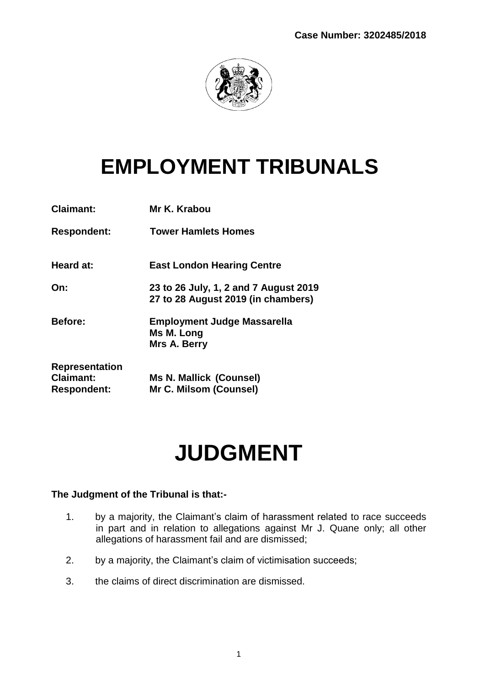

# **EMPLOYMENT TRIBUNALS**

| <b>Claimant:</b>                                                | Mr K. Krabou                                                                |
|-----------------------------------------------------------------|-----------------------------------------------------------------------------|
| <b>Respondent:</b>                                              | <b>Tower Hamlets Homes</b>                                                  |
| Heard at:                                                       | <b>East London Hearing Centre</b>                                           |
| On:                                                             | 23 to 26 July, 1, 2 and 7 August 2019<br>27 to 28 August 2019 (in chambers) |
| <b>Before:</b>                                                  | <b>Employment Judge Massarella</b><br>Ms M. Long<br>Mrs A. Berry            |
| <b>Representation</b><br><b>Claimant:</b><br><b>Respondent:</b> | <b>Ms N. Mallick (Counsel)</b><br>Mr C. Milsom (Counsel)                    |

# **JUDGMENT**

## **The Judgment of the Tribunal is that:-**

- 1. by a majority, the Claimant's claim of harassment related to race succeeds in part and in relation to allegations against Mr J. Quane only; all other allegations of harassment fail and are dismissed;
- 2. by a majority, the Claimant's claim of victimisation succeeds;
- 3. the claims of direct discrimination are dismissed.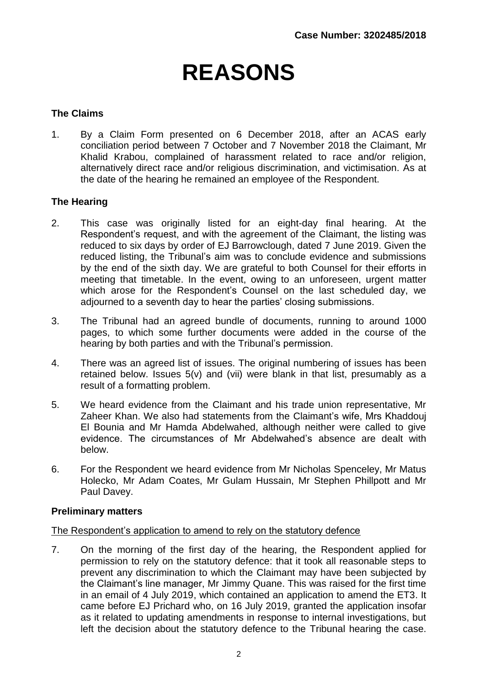# **REASONS**

## **The Claims**

1. By a Claim Form presented on 6 December 2018, after an ACAS early conciliation period between 7 October and 7 November 2018 the Claimant, Mr Khalid Krabou, complained of harassment related to race and/or religion, alternatively direct race and/or religious discrimination, and victimisation. As at the date of the hearing he remained an employee of the Respondent.

## **The Hearing**

- 2. This case was originally listed for an eight-day final hearing. At the Respondent's request, and with the agreement of the Claimant, the listing was reduced to six days by order of EJ Barrowclough, dated 7 June 2019. Given the reduced listing, the Tribunal's aim was to conclude evidence and submissions by the end of the sixth day. We are grateful to both Counsel for their efforts in meeting that timetable. In the event, owing to an unforeseen, urgent matter which arose for the Respondent's Counsel on the last scheduled day, we adjourned to a seventh day to hear the parties' closing submissions.
- 3. The Tribunal had an agreed bundle of documents, running to around 1000 pages, to which some further documents were added in the course of the hearing by both parties and with the Tribunal's permission.
- 4. There was an agreed list of issues. The original numbering of issues has been retained below. Issues 5(v) and (vii) were blank in that list, presumably as a result of a formatting problem.
- 5. We heard evidence from the Claimant and his trade union representative, Mr Zaheer Khan. We also had statements from the Claimant's wife, Mrs Khaddouj El Bounia and Mr Hamda Abdelwahed, although neither were called to give evidence. The circumstances of Mr Abdelwahed's absence are dealt with below.
- 6. For the Respondent we heard evidence from Mr Nicholas Spenceley, Mr Matus Holecko, Mr Adam Coates, Mr Gulam Hussain, Mr Stephen Phillpott and Mr Paul Davey.

## **Preliminary matters**

#### The Respondent's application to amend to rely on the statutory defence

7. On the morning of the first day of the hearing, the Respondent applied for permission to rely on the statutory defence: that it took all reasonable steps to prevent any discrimination to which the Claimant may have been subjected by the Claimant's line manager, Mr Jimmy Quane. This was raised for the first time in an email of 4 July 2019, which contained an application to amend the ET3. It came before EJ Prichard who, on 16 July 2019, granted the application insofar as it related to updating amendments in response to internal investigations, but left the decision about the statutory defence to the Tribunal hearing the case.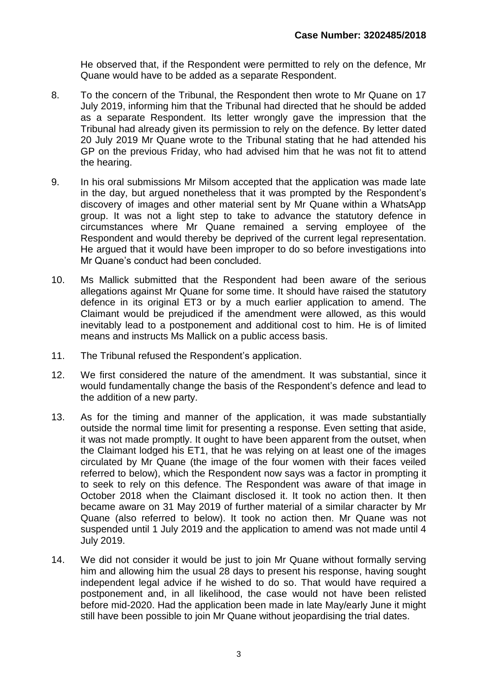He observed that, if the Respondent were permitted to rely on the defence, Mr Quane would have to be added as a separate Respondent.

- 8. To the concern of the Tribunal, the Respondent then wrote to Mr Quane on 17 July 2019, informing him that the Tribunal had directed that he should be added as a separate Respondent. Its letter wrongly gave the impression that the Tribunal had already given its permission to rely on the defence. By letter dated 20 July 2019 Mr Quane wrote to the Tribunal stating that he had attended his GP on the previous Friday, who had advised him that he was not fit to attend the hearing.
- 9. In his oral submissions Mr Milsom accepted that the application was made late in the day, but argued nonetheless that it was prompted by the Respondent's discovery of images and other material sent by Mr Quane within a WhatsApp group. It was not a light step to take to advance the statutory defence in circumstances where Mr Quane remained a serving employee of the Respondent and would thereby be deprived of the current legal representation. He argued that it would have been improper to do so before investigations into Mr Quane's conduct had been concluded.
- 10. Ms Mallick submitted that the Respondent had been aware of the serious allegations against Mr Quane for some time. It should have raised the statutory defence in its original ET3 or by a much earlier application to amend. The Claimant would be prejudiced if the amendment were allowed, as this would inevitably lead to a postponement and additional cost to him. He is of limited means and instructs Ms Mallick on a public access basis.
- 11. The Tribunal refused the Respondent's application.
- 12. We first considered the nature of the amendment. It was substantial, since it would fundamentally change the basis of the Respondent's defence and lead to the addition of a new party.
- 13. As for the timing and manner of the application, it was made substantially outside the normal time limit for presenting a response. Even setting that aside, it was not made promptly. It ought to have been apparent from the outset, when the Claimant lodged his ET1, that he was relying on at least one of the images circulated by Mr Quane (the image of the four women with their faces veiled referred to below), which the Respondent now says was a factor in prompting it to seek to rely on this defence. The Respondent was aware of that image in October 2018 when the Claimant disclosed it. It took no action then. It then became aware on 31 May 2019 of further material of a similar character by Mr Quane (also referred to below). It took no action then. Mr Quane was not suspended until 1 July 2019 and the application to amend was not made until 4 July 2019.
- 14. We did not consider it would be just to join Mr Quane without formally serving him and allowing him the usual 28 days to present his response, having sought independent legal advice if he wished to do so. That would have required a postponement and, in all likelihood, the case would not have been relisted before mid-2020. Had the application been made in late May/early June it might still have been possible to join Mr Quane without jeopardising the trial dates.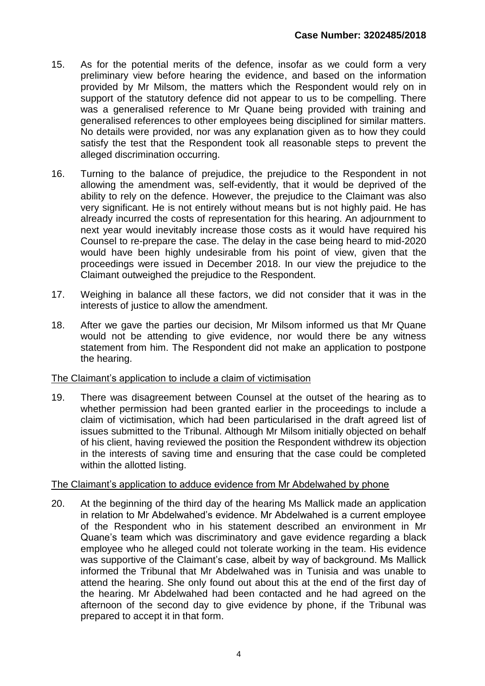- 15. As for the potential merits of the defence, insofar as we could form a very preliminary view before hearing the evidence, and based on the information provided by Mr Milsom, the matters which the Respondent would rely on in support of the statutory defence did not appear to us to be compelling. There was a generalised reference to Mr Quane being provided with training and generalised references to other employees being disciplined for similar matters. No details were provided, nor was any explanation given as to how they could satisfy the test that the Respondent took all reasonable steps to prevent the alleged discrimination occurring.
- 16. Turning to the balance of prejudice, the prejudice to the Respondent in not allowing the amendment was, self-evidently, that it would be deprived of the ability to rely on the defence. However, the prejudice to the Claimant was also very significant. He is not entirely without means but is not highly paid. He has already incurred the costs of representation for this hearing. An adjournment to next year would inevitably increase those costs as it would have required his Counsel to re-prepare the case. The delay in the case being heard to mid-2020 would have been highly undesirable from his point of view, given that the proceedings were issued in December 2018. In our view the prejudice to the Claimant outweighed the prejudice to the Respondent.
- 17. Weighing in balance all these factors, we did not consider that it was in the interests of justice to allow the amendment.
- 18. After we gave the parties our decision, Mr Milsom informed us that Mr Quane would not be attending to give evidence, nor would there be any witness statement from him. The Respondent did not make an application to postpone the hearing.

## The Claimant's application to include a claim of victimisation

19. There was disagreement between Counsel at the outset of the hearing as to whether permission had been granted earlier in the proceedings to include a claim of victimisation, which had been particularised in the draft agreed list of issues submitted to the Tribunal. Although Mr Milsom initially objected on behalf of his client, having reviewed the position the Respondent withdrew its objection in the interests of saving time and ensuring that the case could be completed within the allotted listing.

## The Claimant's application to adduce evidence from Mr Abdelwahed by phone

20. At the beginning of the third day of the hearing Ms Mallick made an application in relation to Mr Abdelwahed's evidence. Mr Abdelwahed is a current employee of the Respondent who in his statement described an environment in Mr Quane's team which was discriminatory and gave evidence regarding a black employee who he alleged could not tolerate working in the team. His evidence was supportive of the Claimant's case, albeit by way of background. Ms Mallick informed the Tribunal that Mr Abdelwahed was in Tunisia and was unable to attend the hearing. She only found out about this at the end of the first day of the hearing. Mr Abdelwahed had been contacted and he had agreed on the afternoon of the second day to give evidence by phone, if the Tribunal was prepared to accept it in that form.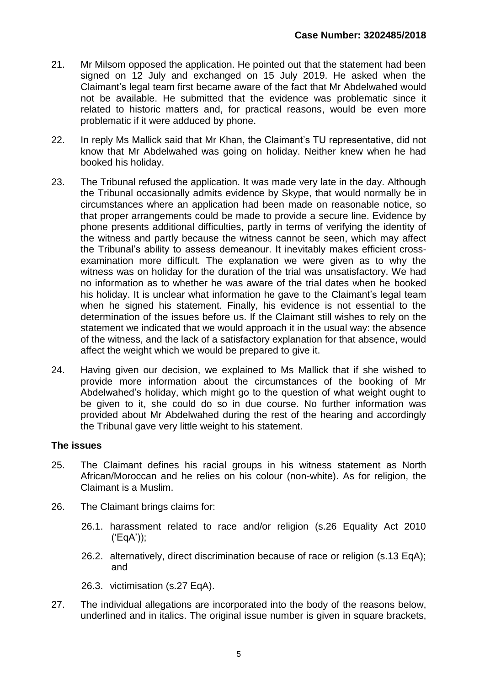- 21. Mr Milsom opposed the application. He pointed out that the statement had been signed on 12 July and exchanged on 15 July 2019. He asked when the Claimant's legal team first became aware of the fact that Mr Abdelwahed would not be available. He submitted that the evidence was problematic since it related to historic matters and, for practical reasons, would be even more problematic if it were adduced by phone.
- 22. In reply Ms Mallick said that Mr Khan, the Claimant's TU representative, did not know that Mr Abdelwahed was going on holiday. Neither knew when he had booked his holiday.
- 23. The Tribunal refused the application. It was made very late in the day. Although the Tribunal occasionally admits evidence by Skype, that would normally be in circumstances where an application had been made on reasonable notice, so that proper arrangements could be made to provide a secure line. Evidence by phone presents additional difficulties, partly in terms of verifying the identity of the witness and partly because the witness cannot be seen, which may affect the Tribunal's ability to assess demeanour. It inevitably makes efficient crossexamination more difficult. The explanation we were given as to why the witness was on holiday for the duration of the trial was unsatisfactory. We had no information as to whether he was aware of the trial dates when he booked his holiday. It is unclear what information he gave to the Claimant's legal team when he signed his statement. Finally, his evidence is not essential to the determination of the issues before us. If the Claimant still wishes to rely on the statement we indicated that we would approach it in the usual way: the absence of the witness, and the lack of a satisfactory explanation for that absence, would affect the weight which we would be prepared to give it.
- 24. Having given our decision, we explained to Ms Mallick that if she wished to provide more information about the circumstances of the booking of Mr Abdelwahed's holiday, which might go to the question of what weight ought to be given to it, she could do so in due course. No further information was provided about Mr Abdelwahed during the rest of the hearing and accordingly the Tribunal gave very little weight to his statement.

## **The issues**

- 25. The Claimant defines his racial groups in his witness statement as North African/Moroccan and he relies on his colour (non-white). As for religion, the Claimant is a Muslim.
- 26. The Claimant brings claims for:
	- 26.1. harassment related to race and/or religion (s.26 Equality Act 2010 ('EqA'));
	- 26.2. alternatively, direct discrimination because of race or religion (s.13 EqA); and
	- 26.3. victimisation (s.27 EqA).
- 27. The individual allegations are incorporated into the body of the reasons below, underlined and in italics. The original issue number is given in square brackets,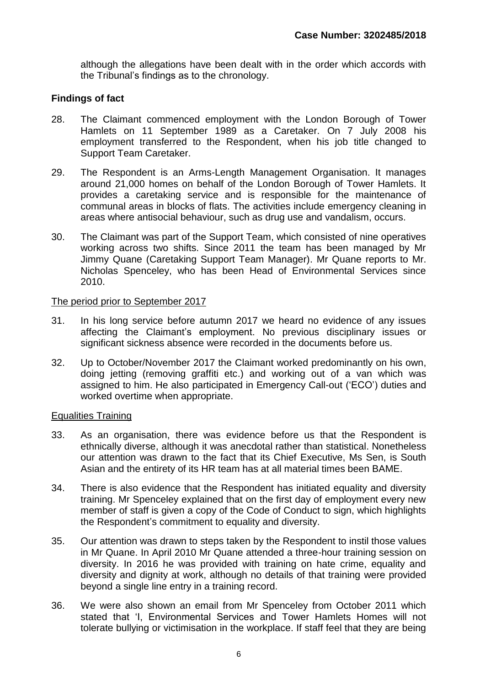although the allegations have been dealt with in the order which accords with the Tribunal's findings as to the chronology.

## **Findings of fact**

- 28. The Claimant commenced employment with the London Borough of Tower Hamlets on 11 September 1989 as a Caretaker. On 7 July 2008 his employment transferred to the Respondent, when his job title changed to Support Team Caretaker.
- 29. The Respondent is an Arms-Length Management Organisation. It manages around 21,000 homes on behalf of the London Borough of Tower Hamlets. It provides a caretaking service and is responsible for the maintenance of communal areas in blocks of flats. The activities include emergency cleaning in areas where antisocial behaviour, such as drug use and vandalism, occurs.
- 30. The Claimant was part of the Support Team, which consisted of nine operatives working across two shifts. Since 2011 the team has been managed by Mr Jimmy Quane (Caretaking Support Team Manager). Mr Quane reports to Mr. Nicholas Spenceley, who has been Head of Environmental Services since 2010.

## The period prior to September 2017

- 31. In his long service before autumn 2017 we heard no evidence of any issues affecting the Claimant's employment. No previous disciplinary issues or significant sickness absence were recorded in the documents before us.
- 32. Up to October/November 2017 the Claimant worked predominantly on his own, doing jetting (removing graffiti etc.) and working out of a van which was assigned to him. He also participated in Emergency Call-out ('ECO') duties and worked overtime when appropriate.

## Equalities Training

- 33. As an organisation, there was evidence before us that the Respondent is ethnically diverse, although it was anecdotal rather than statistical. Nonetheless our attention was drawn to the fact that its Chief Executive, Ms Sen, is South Asian and the entirety of its HR team has at all material times been BAME.
- 34. There is also evidence that the Respondent has initiated equality and diversity training. Mr Spenceley explained that on the first day of employment every new member of staff is given a copy of the Code of Conduct to sign, which highlights the Respondent's commitment to equality and diversity.
- 35. Our attention was drawn to steps taken by the Respondent to instil those values in Mr Quane. In April 2010 Mr Quane attended a three-hour training session on diversity. In 2016 he was provided with training on hate crime, equality and diversity and dignity at work, although no details of that training were provided beyond a single line entry in a training record.
- 36. We were also shown an email from Mr Spenceley from October 2011 which stated that 'I, Environmental Services and Tower Hamlets Homes will not tolerate bullying or victimisation in the workplace. If staff feel that they are being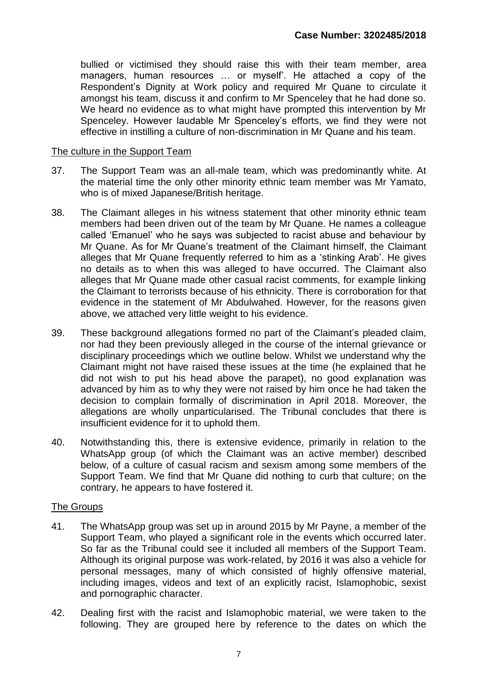bullied or victimised they should raise this with their team member, area managers, human resources … or myself'. He attached a copy of the Respondent's Dignity at Work policy and required Mr Quane to circulate it amongst his team, discuss it and confirm to Mr Spenceley that he had done so. We heard no evidence as to what might have prompted this intervention by Mr Spenceley. However laudable Mr Spenceley's efforts, we find they were not effective in instilling a culture of non-discrimination in Mr Quane and his team.

#### The culture in the Support Team

- 37. The Support Team was an all-male team, which was predominantly white. At the material time the only other minority ethnic team member was Mr Yamato, who is of mixed Japanese/British heritage.
- 38. The Claimant alleges in his witness statement that other minority ethnic team members had been driven out of the team by Mr Quane. He names a colleague called 'Emanuel' who he says was subjected to racist abuse and behaviour by Mr Quane. As for Mr Quane's treatment of the Claimant himself, the Claimant alleges that Mr Quane frequently referred to him as a 'stinking Arab'. He gives no details as to when this was alleged to have occurred. The Claimant also alleges that Mr Quane made other casual racist comments, for example linking the Claimant to terrorists because of his ethnicity. There is corroboration for that evidence in the statement of Mr Abdulwahed. However, for the reasons given above, we attached very little weight to his evidence.
- 39. These background allegations formed no part of the Claimant's pleaded claim, nor had they been previously alleged in the course of the internal grievance or disciplinary proceedings which we outline below. Whilst we understand why the Claimant might not have raised these issues at the time (he explained that he did not wish to put his head above the parapet), no good explanation was advanced by him as to why they were not raised by him once he had taken the decision to complain formally of discrimination in April 2018. Moreover, the allegations are wholly unparticularised. The Tribunal concludes that there is insufficient evidence for it to uphold them.
- 40. Notwithstanding this, there is extensive evidence, primarily in relation to the WhatsApp group (of which the Claimant was an active member) described below, of a culture of casual racism and sexism among some members of the Support Team. We find that Mr Quane did nothing to curb that culture; on the contrary, he appears to have fostered it.

## The Groups

- 41. The WhatsApp group was set up in around 2015 by Mr Payne, a member of the Support Team, who played a significant role in the events which occurred later. So far as the Tribunal could see it included all members of the Support Team. Although its original purpose was work-related, by 2016 it was also a vehicle for personal messages, many of which consisted of highly offensive material, including images, videos and text of an explicitly racist, Islamophobic, sexist and pornographic character.
- 42. Dealing first with the racist and Islamophobic material, we were taken to the following. They are grouped here by reference to the dates on which the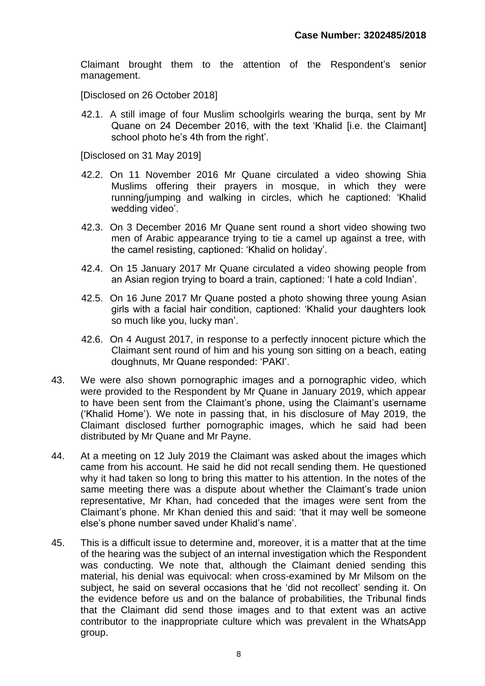Claimant brought them to the attention of the Respondent's senior management.

[Disclosed on 26 October 2018]

42.1. A still image of four Muslim schoolgirls wearing the burqa, sent by Mr Quane on 24 December 2016, with the text 'Khalid [i.e. the Claimant] school photo he's 4th from the right'.

[Disclosed on 31 May 2019]

- 42.2. On 11 November 2016 Mr Quane circulated a video showing Shia Muslims offering their prayers in mosque, in which they were running/jumping and walking in circles, which he captioned: 'Khalid wedding video'.
- 42.3. On 3 December 2016 Mr Quane sent round a short video showing two men of Arabic appearance trying to tie a camel up against a tree, with the camel resisting, captioned: 'Khalid on holiday'.
- 42.4. On 15 January 2017 Mr Quane circulated a video showing people from an Asian region trying to board a train, captioned: 'I hate a cold Indian'.
- 42.5. On 16 June 2017 Mr Quane posted a photo showing three young Asian girls with a facial hair condition, captioned: 'Khalid your daughters look so much like you, lucky man'.
- 42.6. On 4 August 2017, in response to a perfectly innocent picture which the Claimant sent round of him and his young son sitting on a beach, eating doughnuts, Mr Quane responded: 'PAKI'.
- 43. We were also shown pornographic images and a pornographic video, which were provided to the Respondent by Mr Quane in January 2019, which appear to have been sent from the Claimant's phone, using the Claimant's username ('Khalid Home'). We note in passing that, in his disclosure of May 2019, the Claimant disclosed further pornographic images, which he said had been distributed by Mr Quane and Mr Payne.
- 44. At a meeting on 12 July 2019 the Claimant was asked about the images which came from his account. He said he did not recall sending them. He questioned why it had taken so long to bring this matter to his attention. In the notes of the same meeting there was a dispute about whether the Claimant's trade union representative, Mr Khan, had conceded that the images were sent from the Claimant's phone. Mr Khan denied this and said: 'that it may well be someone else's phone number saved under Khalid's name'.
- 45. This is a difficult issue to determine and, moreover, it is a matter that at the time of the hearing was the subject of an internal investigation which the Respondent was conducting. We note that, although the Claimant denied sending this material, his denial was equivocal: when cross-examined by Mr Milsom on the subject, he said on several occasions that he 'did not recollect' sending it. On the evidence before us and on the balance of probabilities, the Tribunal finds that the Claimant did send those images and to that extent was an active contributor to the inappropriate culture which was prevalent in the WhatsApp group.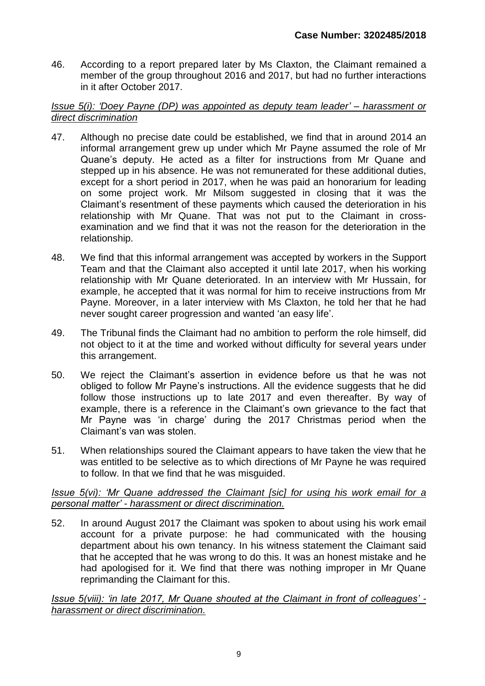46. According to a report prepared later by Ms Claxton, the Claimant remained a member of the group throughout 2016 and 2017, but had no further interactions in it after October 2017.

## *Issue 5(i): 'Doey Payne (DP) was appointed as deputy team leader' – harassment or direct discrimination*

- 47. Although no precise date could be established, we find that in around 2014 an informal arrangement grew up under which Mr Payne assumed the role of Mr Quane's deputy. He acted as a filter for instructions from Mr Quane and stepped up in his absence. He was not remunerated for these additional duties, except for a short period in 2017, when he was paid an honorarium for leading on some project work. Mr Milsom suggested in closing that it was the Claimant's resentment of these payments which caused the deterioration in his relationship with Mr Quane. That was not put to the Claimant in crossexamination and we find that it was not the reason for the deterioration in the relationship.
- 48. We find that this informal arrangement was accepted by workers in the Support Team and that the Claimant also accepted it until late 2017, when his working relationship with Mr Quane deteriorated. In an interview with Mr Hussain, for example, he accepted that it was normal for him to receive instructions from Mr Payne. Moreover, in a later interview with Ms Claxton, he told her that he had never sought career progression and wanted 'an easy life'.
- 49. The Tribunal finds the Claimant had no ambition to perform the role himself, did not object to it at the time and worked without difficulty for several years under this arrangement.
- 50. We reject the Claimant's assertion in evidence before us that he was not obliged to follow Mr Payne's instructions. All the evidence suggests that he did follow those instructions up to late 2017 and even thereafter. By way of example, there is a reference in the Claimant's own grievance to the fact that Mr Payne was 'in charge' during the 2017 Christmas period when the Claimant's van was stolen.
- 51. When relationships soured the Claimant appears to have taken the view that he was entitled to be selective as to which directions of Mr Payne he was required to follow. In that we find that he was misguided.

## *Issue 5(vi): 'Mr Quane addressed the Claimant [sic] for using his work email for a personal matter' - harassment or direct discrimination.*

52. In around August 2017 the Claimant was spoken to about using his work email account for a private purpose: he had communicated with the housing department about his own tenancy. In his witness statement the Claimant said that he accepted that he was wrong to do this. It was an honest mistake and he had apologised for it. We find that there was nothing improper in Mr Quane reprimanding the Claimant for this.

*Issue 5(viii): 'in late 2017, Mr Quane shouted at the Claimant in front of colleagues' harassment or direct discrimination.*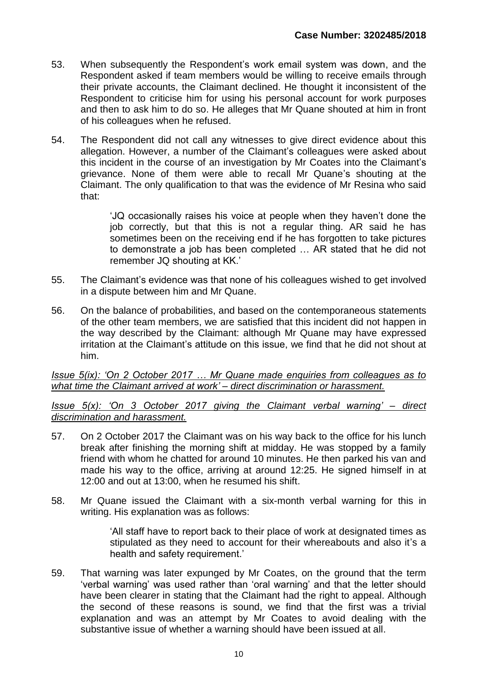- 53. When subsequently the Respondent's work email system was down, and the Respondent asked if team members would be willing to receive emails through their private accounts, the Claimant declined. He thought it inconsistent of the Respondent to criticise him for using his personal account for work purposes and then to ask him to do so. He alleges that Mr Quane shouted at him in front of his colleagues when he refused.
- 54. The Respondent did not call any witnesses to give direct evidence about this allegation. However, a number of the Claimant's colleagues were asked about this incident in the course of an investigation by Mr Coates into the Claimant's grievance. None of them were able to recall Mr Quane's shouting at the Claimant. The only qualification to that was the evidence of Mr Resina who said that:

'JQ occasionally raises his voice at people when they haven't done the job correctly, but that this is not a regular thing. AR said he has sometimes been on the receiving end if he has forgotten to take pictures to demonstrate a job has been completed … AR stated that he did not remember JQ shouting at KK.'

- 55. The Claimant's evidence was that none of his colleagues wished to get involved in a dispute between him and Mr Quane.
- 56. On the balance of probabilities, and based on the contemporaneous statements of the other team members, we are satisfied that this incident did not happen in the way described by the Claimant: although Mr Quane may have expressed irritation at the Claimant's attitude on this issue, we find that he did not shout at him.

*Issue 5(ix): 'On 2 October 2017 … Mr Quane made enquiries from colleagues as to what time the Claimant arrived at work' – direct discrimination or harassment.*

*Issue 5(x): 'On 3 October 2017 giving the Claimant verbal warning' – direct discrimination and harassment.*

- 57. On 2 October 2017 the Claimant was on his way back to the office for his lunch break after finishing the morning shift at midday. He was stopped by a family friend with whom he chatted for around 10 minutes. He then parked his van and made his way to the office, arriving at around 12:25. He signed himself in at 12:00 and out at 13:00, when he resumed his shift.
- 58. Mr Quane issued the Claimant with a six-month verbal warning for this in writing. His explanation was as follows:

'All staff have to report back to their place of work at designated times as stipulated as they need to account for their whereabouts and also it's a health and safety requirement.'

59. That warning was later expunged by Mr Coates, on the ground that the term 'verbal warning' was used rather than 'oral warning' and that the letter should have been clearer in stating that the Claimant had the right to appeal. Although the second of these reasons is sound, we find that the first was a trivial explanation and was an attempt by Mr Coates to avoid dealing with the substantive issue of whether a warning should have been issued at all.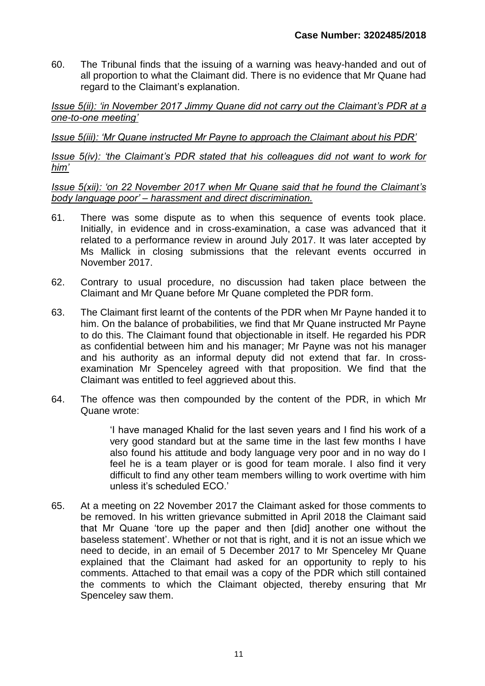60. The Tribunal finds that the issuing of a warning was heavy-handed and out of all proportion to what the Claimant did. There is no evidence that Mr Quane had regard to the Claimant's explanation.

*Issue 5(ii): 'in November 2017 Jimmy Quane did not carry out the Claimant's PDR at a one-to-one meeting'*

*Issue 5(iii): 'Mr Quane instructed Mr Payne to approach the Claimant about his PDR'*

*Issue 5(iv): 'the Claimant's PDR stated that his colleagues did not want to work for him'*

*Issue 5(xii): 'on 22 November 2017 when Mr Quane said that he found the Claimant's body language poor' – harassment and direct discrimination.*

- 61. There was some dispute as to when this sequence of events took place. Initially, in evidence and in cross-examination, a case was advanced that it related to a performance review in around July 2017. It was later accepted by Ms Mallick in closing submissions that the relevant events occurred in November 2017.
- 62. Contrary to usual procedure, no discussion had taken place between the Claimant and Mr Quane before Mr Quane completed the PDR form.
- 63. The Claimant first learnt of the contents of the PDR when Mr Payne handed it to him. On the balance of probabilities, we find that Mr Quane instructed Mr Payne to do this. The Claimant found that objectionable in itself. He regarded his PDR as confidential between him and his manager; Mr Payne was not his manager and his authority as an informal deputy did not extend that far. In crossexamination Mr Spenceley agreed with that proposition. We find that the Claimant was entitled to feel aggrieved about this.
- 64. The offence was then compounded by the content of the PDR, in which Mr Quane wrote:

'I have managed Khalid for the last seven years and I find his work of a very good standard but at the same time in the last few months I have also found his attitude and body language very poor and in no way do I feel he is a team player or is good for team morale. I also find it very difficult to find any other team members willing to work overtime with him unless it's scheduled ECO.'

65. At a meeting on 22 November 2017 the Claimant asked for those comments to be removed. In his written grievance submitted in April 2018 the Claimant said that Mr Quane 'tore up the paper and then [did] another one without the baseless statement'. Whether or not that is right, and it is not an issue which we need to decide, in an email of 5 December 2017 to Mr Spenceley Mr Quane explained that the Claimant had asked for an opportunity to reply to his comments. Attached to that email was a copy of the PDR which still contained the comments to which the Claimant objected, thereby ensuring that Mr Spenceley saw them.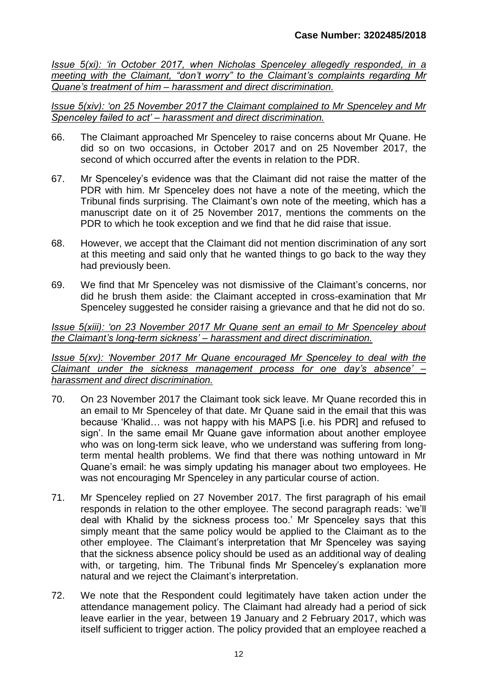*Issue 5(xi): 'in October 2017, when Nicholas Spenceley allegedly responded, in a meeting with the Claimant, "don't worry" to the Claimant's complaints regarding Mr Quane's treatment of him – harassment and direct discrimination.*

*Issue 5(xiv): 'on 25 November 2017 the Claimant complained to Mr Spenceley and Mr Spenceley failed to act' – harassment and direct discrimination.*

- 66. The Claimant approached Mr Spenceley to raise concerns about Mr Quane. He did so on two occasions, in October 2017 and on 25 November 2017, the second of which occurred after the events in relation to the PDR.
- 67. Mr Spenceley's evidence was that the Claimant did not raise the matter of the PDR with him. Mr Spenceley does not have a note of the meeting, which the Tribunal finds surprising. The Claimant's own note of the meeting, which has a manuscript date on it of 25 November 2017, mentions the comments on the PDR to which he took exception and we find that he did raise that issue.
- 68. However, we accept that the Claimant did not mention discrimination of any sort at this meeting and said only that he wanted things to go back to the way they had previously been.
- 69. We find that Mr Spenceley was not dismissive of the Claimant's concerns, nor did he brush them aside: the Claimant accepted in cross-examination that Mr Spenceley suggested he consider raising a grievance and that he did not do so.

*Issue 5(xiii): 'on 23 November 2017 Mr Quane sent an email to Mr Spenceley about the Claimant's long-term sickness' – harassment and direct discrimination.*

*Issue 5(xv): 'November 2017 Mr Quane encouraged Mr Spenceley to deal with the Claimant under the sickness management process for one day's absence' – harassment and direct discrimination.*

- 70. On 23 November 2017 the Claimant took sick leave. Mr Quane recorded this in an email to Mr Spenceley of that date. Mr Quane said in the email that this was because 'Khalid… was not happy with his MAPS [i.e. his PDR] and refused to sign'. In the same email Mr Quane gave information about another employee who was on long-term sick leave, who we understand was suffering from longterm mental health problems. We find that there was nothing untoward in Mr Quane's email: he was simply updating his manager about two employees. He was not encouraging Mr Spenceley in any particular course of action.
- 71. Mr Spenceley replied on 27 November 2017. The first paragraph of his email responds in relation to the other employee. The second paragraph reads: 'we'll deal with Khalid by the sickness process too.' Mr Spenceley says that this simply meant that the same policy would be applied to the Claimant as to the other employee. The Claimant's interpretation that Mr Spenceley was saying that the sickness absence policy should be used as an additional way of dealing with, or targeting, him. The Tribunal finds Mr Spenceley's explanation more natural and we reject the Claimant's interpretation.
- 72. We note that the Respondent could legitimately have taken action under the attendance management policy. The Claimant had already had a period of sick leave earlier in the year, between 19 January and 2 February 2017, which was itself sufficient to trigger action. The policy provided that an employee reached a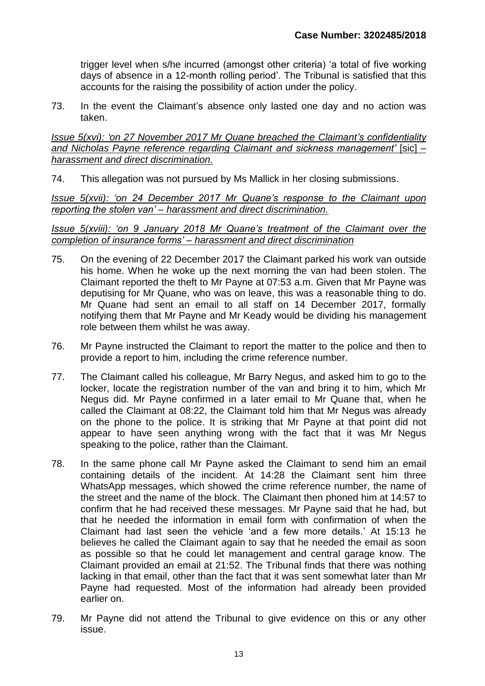trigger level when s/he incurred (amongst other criteria) 'a total of five working days of absence in a 12-month rolling period'. The Tribunal is satisfied that this accounts for the raising the possibility of action under the policy.

73. In the event the Claimant's absence only lasted one day and no action was taken.

*Issue 5(xvi): 'on 27 November 2017 Mr Quane breached the Claimant's confidentiality and Nicholas Payne reference regarding Claimant and sickness management'* [sic] *– harassment and direct discrimination.*

74. This allegation was not pursued by Ms Mallick in her closing submissions.

*Issue 5(xvii): 'on 24 December 2017 Mr Quane's response to the Claimant upon reporting the stolen van' – harassment and direct discrimination.*

*Issue 5(xviii): 'on 9 January 2018 Mr Quane's treatment of the Claimant over the completion of insurance forms' – harassment and direct discrimination*

- 75. On the evening of 22 December 2017 the Claimant parked his work van outside his home. When he woke up the next morning the van had been stolen. The Claimant reported the theft to Mr Payne at 07:53 a.m. Given that Mr Payne was deputising for Mr Quane, who was on leave, this was a reasonable thing to do. Mr Quane had sent an email to all staff on 14 December 2017, formally notifying them that Mr Payne and Mr Keady would be dividing his management role between them whilst he was away.
- 76. Mr Payne instructed the Claimant to report the matter to the police and then to provide a report to him, including the crime reference number.
- 77. The Claimant called his colleague, Mr Barry Negus, and asked him to go to the locker, locate the registration number of the van and bring it to him, which Mr Negus did. Mr Payne confirmed in a later email to Mr Quane that, when he called the Claimant at 08:22, the Claimant told him that Mr Negus was already on the phone to the police. It is striking that Mr Payne at that point did not appear to have seen anything wrong with the fact that it was Mr Negus speaking to the police, rather than the Claimant.
- 78. In the same phone call Mr Payne asked the Claimant to send him an email containing details of the incident. At 14:28 the Claimant sent him three WhatsApp messages, which showed the crime reference number, the name of the street and the name of the block. The Claimant then phoned him at 14:57 to confirm that he had received these messages. Mr Payne said that he had, but that he needed the information in email form with confirmation of when the Claimant had last seen the vehicle 'and a few more details.' At 15:13 he believes he called the Claimant again to say that he needed the email as soon as possible so that he could let management and central garage know. The Claimant provided an email at 21:52. The Tribunal finds that there was nothing lacking in that email, other than the fact that it was sent somewhat later than Mr Payne had requested. Most of the information had already been provided earlier on.
- 79. Mr Payne did not attend the Tribunal to give evidence on this or any other issue.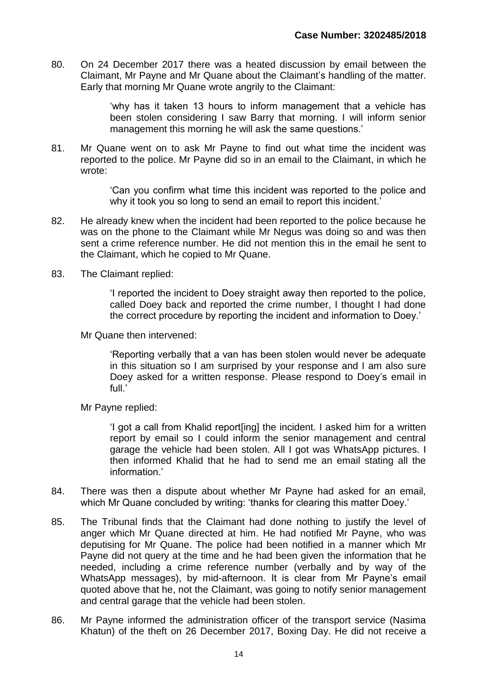80. On 24 December 2017 there was a heated discussion by email between the Claimant, Mr Payne and Mr Quane about the Claimant's handling of the matter. Early that morning Mr Quane wrote angrily to the Claimant:

> 'why has it taken 13 hours to inform management that a vehicle has been stolen considering I saw Barry that morning. I will inform senior management this morning he will ask the same questions.'

81. Mr Quane went on to ask Mr Payne to find out what time the incident was reported to the police. Mr Payne did so in an email to the Claimant, in which he wrote:

> 'Can you confirm what time this incident was reported to the police and why it took you so long to send an email to report this incident.'

- 82. He already knew when the incident had been reported to the police because he was on the phone to the Claimant while Mr Negus was doing so and was then sent a crime reference number. He did not mention this in the email he sent to the Claimant, which he copied to Mr Quane.
- 83. The Claimant replied:

'I reported the incident to Doey straight away then reported to the police, called Doey back and reported the crime number, I thought I had done the correct procedure by reporting the incident and information to Doey.'

Mr Quane then intervened:

'Reporting verbally that a van has been stolen would never be adequate in this situation so I am surprised by your response and I am also sure Doey asked for a written response. Please respond to Doey's email in full.'

Mr Payne replied:

'I got a call from Khalid report[ing] the incident. I asked him for a written report by email so I could inform the senior management and central garage the vehicle had been stolen. All I got was WhatsApp pictures. I then informed Khalid that he had to send me an email stating all the information.'

- 84. There was then a dispute about whether Mr Payne had asked for an email, which Mr Quane concluded by writing: 'thanks for clearing this matter Doey.'
- 85. The Tribunal finds that the Claimant had done nothing to justify the level of anger which Mr Quane directed at him. He had notified Mr Payne, who was deputising for Mr Quane. The police had been notified in a manner which Mr Payne did not query at the time and he had been given the information that he needed, including a crime reference number (verbally and by way of the WhatsApp messages), by mid-afternoon. It is clear from Mr Payne's email quoted above that he, not the Claimant, was going to notify senior management and central garage that the vehicle had been stolen.
- 86. Mr Payne informed the administration officer of the transport service (Nasima Khatun) of the theft on 26 December 2017, Boxing Day. He did not receive a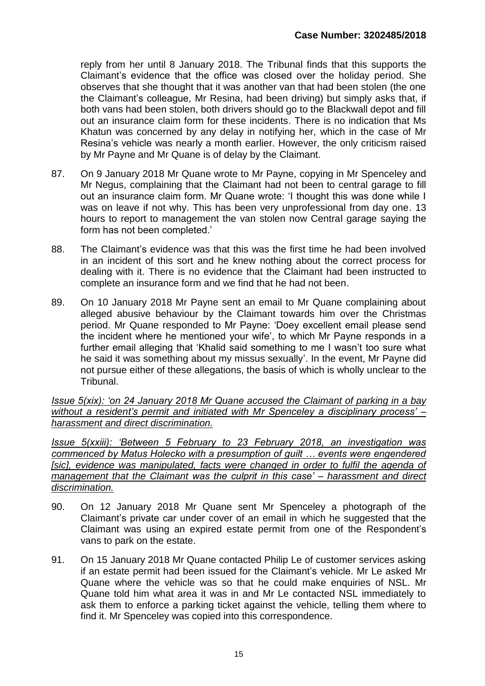reply from her until 8 January 2018. The Tribunal finds that this supports the Claimant's evidence that the office was closed over the holiday period. She observes that she thought that it was another van that had been stolen (the one the Claimant's colleague, Mr Resina, had been driving) but simply asks that, if both vans had been stolen, both drivers should go to the Blackwall depot and fill out an insurance claim form for these incidents. There is no indication that Ms Khatun was concerned by any delay in notifying her, which in the case of Mr Resina's vehicle was nearly a month earlier. However, the only criticism raised by Mr Payne and Mr Quane is of delay by the Claimant.

- 87. On 9 January 2018 Mr Quane wrote to Mr Payne, copying in Mr Spenceley and Mr Negus, complaining that the Claimant had not been to central garage to fill out an insurance claim form. Mr Quane wrote: 'I thought this was done while I was on leave if not why. This has been very unprofessional from day one. 13 hours to report to management the van stolen now Central garage saying the form has not been completed.'
- 88. The Claimant's evidence was that this was the first time he had been involved in an incident of this sort and he knew nothing about the correct process for dealing with it. There is no evidence that the Claimant had been instructed to complete an insurance form and we find that he had not been.
- 89. On 10 January 2018 Mr Payne sent an email to Mr Quane complaining about alleged abusive behaviour by the Claimant towards him over the Christmas period. Mr Quane responded to Mr Payne: 'Doey excellent email please send the incident where he mentioned your wife', to which Mr Payne responds in a further email alleging that 'Khalid said something to me I wasn't too sure what he said it was something about my missus sexually'. In the event, Mr Payne did not pursue either of these allegations, the basis of which is wholly unclear to the Tribunal.

*Issue 5(xix): 'on 24 January 2018 Mr Quane accused the Claimant of parking in a bay without a resident's permit and initiated with Mr Spenceley a disciplinary process' – harassment and direct discrimination.*

*Issue 5(xxiii): 'Between 5 February to 23 February 2018, an investigation was commenced by Matus Holecko with a presumption of guilt … events were engendered* [sic], evidence was manipulated, facts were changed in order to fulfil the agenda of *management that the Claimant was the culprit in this case' – harassment and direct discrimination.*

- 90. On 12 January 2018 Mr Quane sent Mr Spenceley a photograph of the Claimant's private car under cover of an email in which he suggested that the Claimant was using an expired estate permit from one of the Respondent's vans to park on the estate.
- 91. On 15 January 2018 Mr Quane contacted Philip Le of customer services asking if an estate permit had been issued for the Claimant's vehicle. Mr Le asked Mr Quane where the vehicle was so that he could make enquiries of NSL. Mr Quane told him what area it was in and Mr Le contacted NSL immediately to ask them to enforce a parking ticket against the vehicle, telling them where to find it. Mr Spenceley was copied into this correspondence.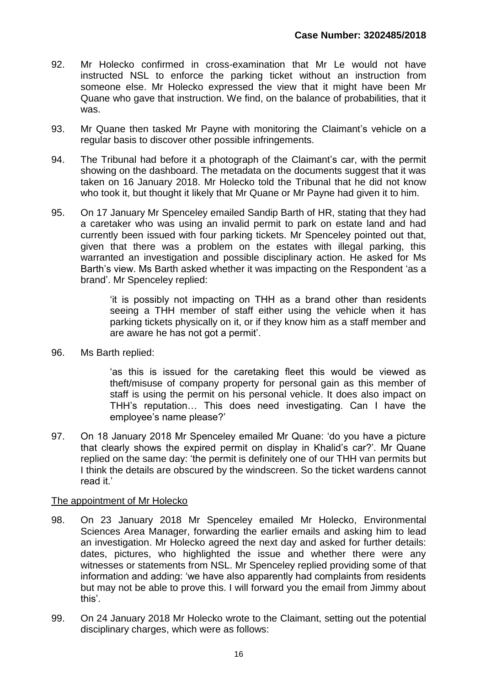- 92. Mr Holecko confirmed in cross-examination that Mr Le would not have instructed NSL to enforce the parking ticket without an instruction from someone else. Mr Holecko expressed the view that it might have been Mr Quane who gave that instruction. We find, on the balance of probabilities, that it was.
- 93. Mr Quane then tasked Mr Payne with monitoring the Claimant's vehicle on a regular basis to discover other possible infringements.
- 94. The Tribunal had before it a photograph of the Claimant's car, with the permit showing on the dashboard. The metadata on the documents suggest that it was taken on 16 January 2018. Mr Holecko told the Tribunal that he did not know who took it, but thought it likely that Mr Quane or Mr Payne had given it to him.
- 95. On 17 January Mr Spenceley emailed Sandip Barth of HR, stating that they had a caretaker who was using an invalid permit to park on estate land and had currently been issued with four parking tickets. Mr Spenceley pointed out that, given that there was a problem on the estates with illegal parking, this warranted an investigation and possible disciplinary action. He asked for Ms Barth's view. Ms Barth asked whether it was impacting on the Respondent 'as a brand'. Mr Spenceley replied:

'it is possibly not impacting on THH as a brand other than residents seeing a THH member of staff either using the vehicle when it has parking tickets physically on it, or if they know him as a staff member and are aware he has not got a permit'.

96. Ms Barth replied:

'as this is issued for the caretaking fleet this would be viewed as theft/misuse of company property for personal gain as this member of staff is using the permit on his personal vehicle. It does also impact on THH's reputation… This does need investigating. Can I have the employee's name please?'

97. On 18 January 2018 Mr Spenceley emailed Mr Quane: 'do you have a picture that clearly shows the expired permit on display in Khalid's car?'. Mr Quane replied on the same day: 'the permit is definitely one of our THH van permits but I think the details are obscured by the windscreen. So the ticket wardens cannot read it.'

## The appointment of Mr Holecko

- 98. On 23 January 2018 Mr Spenceley emailed Mr Holecko, Environmental Sciences Area Manager, forwarding the earlier emails and asking him to lead an investigation. Mr Holecko agreed the next day and asked for further details: dates, pictures, who highlighted the issue and whether there were any witnesses or statements from NSL. Mr Spenceley replied providing some of that information and adding: 'we have also apparently had complaints from residents but may not be able to prove this. I will forward you the email from Jimmy about this'.
- 99. On 24 January 2018 Mr Holecko wrote to the Claimant, setting out the potential disciplinary charges, which were as follows: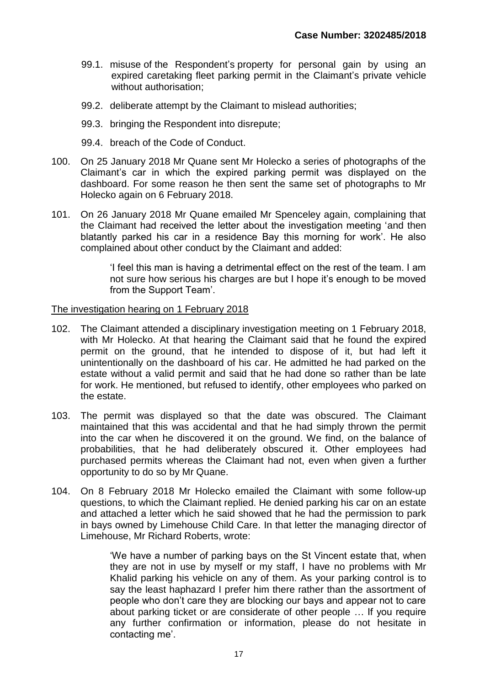- 99.1. misuse of the Respondent's property for personal gain by using an expired caretaking fleet parking permit in the Claimant's private vehicle without authorisation;
- 99.2. deliberate attempt by the Claimant to mislead authorities;
- 99.3. bringing the Respondent into disrepute;
- 99.4. breach of the Code of Conduct.
- 100. On 25 January 2018 Mr Quane sent Mr Holecko a series of photographs of the Claimant's car in which the expired parking permit was displayed on the dashboard. For some reason he then sent the same set of photographs to Mr Holecko again on 6 February 2018.
- 101. On 26 January 2018 Mr Quane emailed Mr Spenceley again, complaining that the Claimant had received the letter about the investigation meeting 'and then blatantly parked his car in a residence Bay this morning for work'. He also complained about other conduct by the Claimant and added:

'I feel this man is having a detrimental effect on the rest of the team. I am not sure how serious his charges are but I hope it's enough to be moved from the Support Team'.

#### The investigation hearing on 1 February 2018

- 102. The Claimant attended a disciplinary investigation meeting on 1 February 2018, with Mr Holecko. At that hearing the Claimant said that he found the expired permit on the ground, that he intended to dispose of it, but had left it unintentionally on the dashboard of his car. He admitted he had parked on the estate without a valid permit and said that he had done so rather than be late for work. He mentioned, but refused to identify, other employees who parked on the estate.
- 103. The permit was displayed so that the date was obscured. The Claimant maintained that this was accidental and that he had simply thrown the permit into the car when he discovered it on the ground. We find, on the balance of probabilities, that he had deliberately obscured it. Other employees had purchased permits whereas the Claimant had not, even when given a further opportunity to do so by Mr Quane.
- 104. On 8 February 2018 Mr Holecko emailed the Claimant with some follow-up questions, to which the Claimant replied. He denied parking his car on an estate and attached a letter which he said showed that he had the permission to park in bays owned by Limehouse Child Care. In that letter the managing director of Limehouse, Mr Richard Roberts, wrote:

'We have a number of parking bays on the St Vincent estate that, when they are not in use by myself or my staff, I have no problems with Mr Khalid parking his vehicle on any of them. As your parking control is to say the least haphazard I prefer him there rather than the assortment of people who don't care they are blocking our bays and appear not to care about parking ticket or are considerate of other people … If you require any further confirmation or information, please do not hesitate in contacting me'.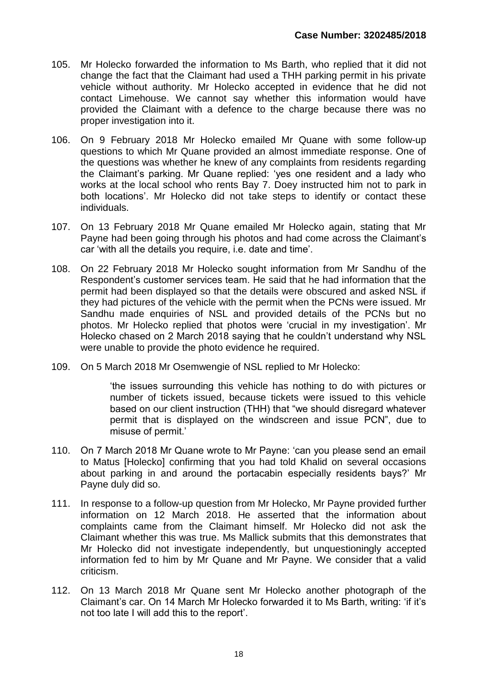- 105. Mr Holecko forwarded the information to Ms Barth, who replied that it did not change the fact that the Claimant had used a THH parking permit in his private vehicle without authority. Mr Holecko accepted in evidence that he did not contact Limehouse. We cannot say whether this information would have provided the Claimant with a defence to the charge because there was no proper investigation into it.
- 106. On 9 February 2018 Mr Holecko emailed Mr Quane with some follow-up questions to which Mr Quane provided an almost immediate response. One of the questions was whether he knew of any complaints from residents regarding the Claimant's parking. Mr Quane replied: 'yes one resident and a lady who works at the local school who rents Bay 7. Doey instructed him not to park in both locations'. Mr Holecko did not take steps to identify or contact these individuals.
- 107. On 13 February 2018 Mr Quane emailed Mr Holecko again, stating that Mr Payne had been going through his photos and had come across the Claimant's car 'with all the details you require, i.e. date and time'.
- 108. On 22 February 2018 Mr Holecko sought information from Mr Sandhu of the Respondent's customer services team. He said that he had information that the permit had been displayed so that the details were obscured and asked NSL if they had pictures of the vehicle with the permit when the PCNs were issued. Mr Sandhu made enquiries of NSL and provided details of the PCNs but no photos. Mr Holecko replied that photos were 'crucial in my investigation'. Mr Holecko chased on 2 March 2018 saying that he couldn't understand why NSL were unable to provide the photo evidence he required.
- 109. On 5 March 2018 Mr Osemwengie of NSL replied to Mr Holecko:

'the issues surrounding this vehicle has nothing to do with pictures or number of tickets issued, because tickets were issued to this vehicle based on our client instruction (THH) that "we should disregard whatever permit that is displayed on the windscreen and issue PCN", due to misuse of permit.'

- 110. On 7 March 2018 Mr Quane wrote to Mr Payne: 'can you please send an email to Matus [Holecko] confirming that you had told Khalid on several occasions about parking in and around the portacabin especially residents bays?' Mr Payne duly did so.
- 111. In response to a follow-up question from Mr Holecko, Mr Payne provided further information on 12 March 2018. He asserted that the information about complaints came from the Claimant himself. Mr Holecko did not ask the Claimant whether this was true. Ms Mallick submits that this demonstrates that Mr Holecko did not investigate independently, but unquestioningly accepted information fed to him by Mr Quane and Mr Payne. We consider that a valid criticism.
- 112. On 13 March 2018 Mr Quane sent Mr Holecko another photograph of the Claimant's car. On 14 March Mr Holecko forwarded it to Ms Barth, writing: 'if it's not too late I will add this to the report'.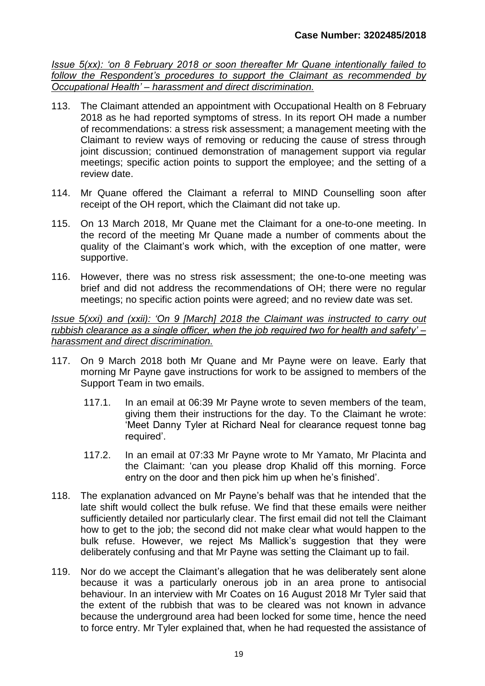*Issue 5(xx): 'on 8 February 2018 or soon thereafter Mr Quane intentionally failed to follow the Respondent's procedures to support the Claimant as recommended by Occupational Health' – harassment and direct discrimination.*

- 113. The Claimant attended an appointment with Occupational Health on 8 February 2018 as he had reported symptoms of stress. In its report OH made a number of recommendations: a stress risk assessment; a management meeting with the Claimant to review ways of removing or reducing the cause of stress through joint discussion; continued demonstration of management support via regular meetings; specific action points to support the employee; and the setting of a review date.
- 114. Mr Quane offered the Claimant a referral to MIND Counselling soon after receipt of the OH report, which the Claimant did not take up.
- 115. On 13 March 2018, Mr Quane met the Claimant for a one-to-one meeting. In the record of the meeting Mr Quane made a number of comments about the quality of the Claimant's work which, with the exception of one matter, were supportive.
- 116. However, there was no stress risk assessment; the one-to-one meeting was brief and did not address the recommendations of OH; there were no regular meetings; no specific action points were agreed; and no review date was set.

*Issue 5(xxi) and (xxii): 'On 9 [March] 2018 the Claimant was instructed to carry out rubbish clearance as a single officer, when the job required two for health and safety' – harassment and direct discrimination.*

- 117. On 9 March 2018 both Mr Quane and Mr Payne were on leave. Early that morning Mr Payne gave instructions for work to be assigned to members of the Support Team in two emails.
	- 117.1. In an email at 06:39 Mr Payne wrote to seven members of the team, giving them their instructions for the day. To the Claimant he wrote: 'Meet Danny Tyler at Richard Neal for clearance request tonne bag required'.
	- 117.2. In an email at 07:33 Mr Payne wrote to Mr Yamato, Mr Placinta and the Claimant: 'can you please drop Khalid off this morning. Force entry on the door and then pick him up when he's finished'.
- 118. The explanation advanced on Mr Payne's behalf was that he intended that the late shift would collect the bulk refuse. We find that these emails were neither sufficiently detailed nor particularly clear. The first email did not tell the Claimant how to get to the job; the second did not make clear what would happen to the bulk refuse. However, we reject Ms Mallick's suggestion that they were deliberately confusing and that Mr Payne was setting the Claimant up to fail.
- 119. Nor do we accept the Claimant's allegation that he was deliberately sent alone because it was a particularly onerous job in an area prone to antisocial behaviour. In an interview with Mr Coates on 16 August 2018 Mr Tyler said that the extent of the rubbish that was to be cleared was not known in advance because the underground area had been locked for some time, hence the need to force entry. Mr Tyler explained that, when he had requested the assistance of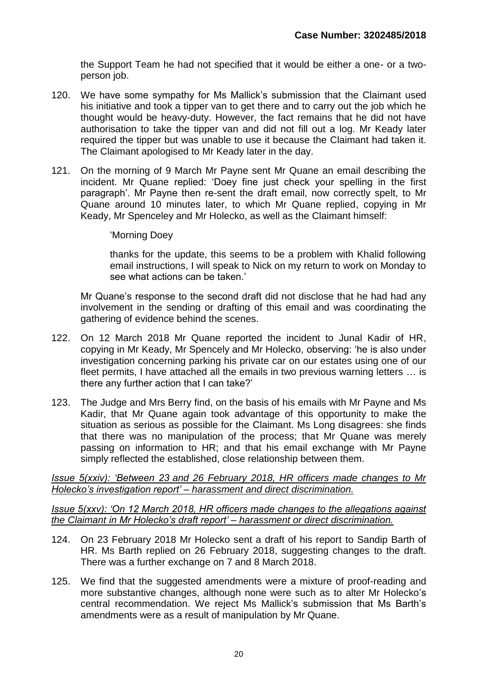the Support Team he had not specified that it would be either a one- or a twoperson job.

- 120. We have some sympathy for Ms Mallick's submission that the Claimant used his initiative and took a tipper van to get there and to carry out the job which he thought would be heavy-duty. However, the fact remains that he did not have authorisation to take the tipper van and did not fill out a log. Mr Keady later required the tipper but was unable to use it because the Claimant had taken it. The Claimant apologised to Mr Keady later in the day.
- 121. On the morning of 9 March Mr Payne sent Mr Quane an email describing the incident. Mr Quane replied: 'Doey fine just check your spelling in the first paragraph'. Mr Payne then re-sent the draft email, now correctly spelt, to Mr Quane around 10 minutes later, to which Mr Quane replied, copying in Mr Keady, Mr Spenceley and Mr Holecko, as well as the Claimant himself:

#### 'Morning Doey

thanks for the update, this seems to be a problem with Khalid following email instructions, I will speak to Nick on my return to work on Monday to see what actions can be taken.'

Mr Quane's response to the second draft did not disclose that he had had any involvement in the sending or drafting of this email and was coordinating the gathering of evidence behind the scenes.

- 122. On 12 March 2018 Mr Quane reported the incident to Junal Kadir of HR, copying in Mr Keady, Mr Spencely and Mr Holecko, observing: 'he is also under investigation concerning parking his private car on our estates using one of our fleet permits, I have attached all the emails in two previous warning letters … is there any further action that I can take?'
- 123. The Judge and Mrs Berry find, on the basis of his emails with Mr Payne and Ms Kadir, that Mr Quane again took advantage of this opportunity to make the situation as serious as possible for the Claimant. Ms Long disagrees: she finds that there was no manipulation of the process; that Mr Quane was merely passing on information to HR; and that his email exchange with Mr Payne simply reflected the established, close relationship between them.

*Issue 5(xxiv): 'Between 23 and 26 February 2018, HR officers made changes to Mr Holecko's investigation report' – harassment and direct discrimination.*

*Issue 5(xxv): 'On 12 March 2018, HR officers made changes to the allegations against the Claimant in Mr Holecko's draft report' – harassment or direct discrimination.*

- 124. On 23 February 2018 Mr Holecko sent a draft of his report to Sandip Barth of HR. Ms Barth replied on 26 February 2018, suggesting changes to the draft. There was a further exchange on 7 and 8 March 2018.
- 125. We find that the suggested amendments were a mixture of proof-reading and more substantive changes, although none were such as to alter Mr Holecko's central recommendation. We reject Ms Mallick's submission that Ms Barth's amendments were as a result of manipulation by Mr Quane.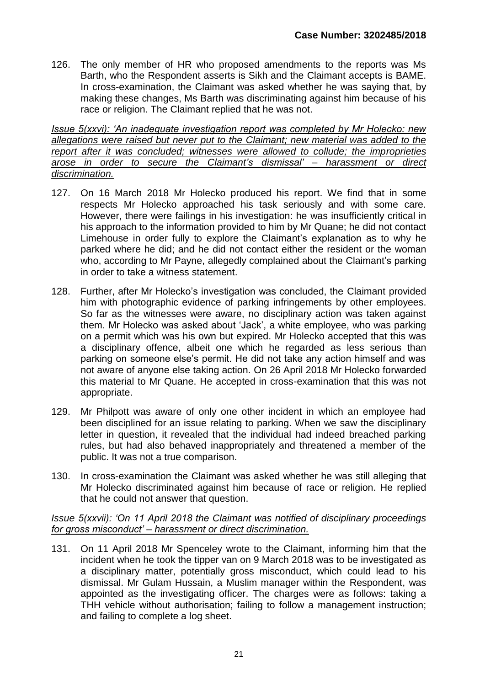126. The only member of HR who proposed amendments to the reports was Ms Barth, who the Respondent asserts is Sikh and the Claimant accepts is BAME. In cross-examination, the Claimant was asked whether he was saying that, by making these changes, Ms Barth was discriminating against him because of his race or religion. The Claimant replied that he was not.

*Issue 5(xxvi): 'An inadequate investigation report was completed by Mr Holecko: new allegations were raised but never put to the Claimant; new material was added to the report after it was concluded; witnesses were allowed to collude; the improprieties arose in order to secure the Claimant's dismissal' – harassment or direct discrimination.*

- 127. On 16 March 2018 Mr Holecko produced his report. We find that in some respects Mr Holecko approached his task seriously and with some care. However, there were failings in his investigation: he was insufficiently critical in his approach to the information provided to him by Mr Quane; he did not contact Limehouse in order fully to explore the Claimant's explanation as to why he parked where he did; and he did not contact either the resident or the woman who, according to Mr Payne, allegedly complained about the Claimant's parking in order to take a witness statement.
- 128. Further, after Mr Holecko's investigation was concluded, the Claimant provided him with photographic evidence of parking infringements by other employees. So far as the witnesses were aware, no disciplinary action was taken against them. Mr Holecko was asked about 'Jack', a white employee, who was parking on a permit which was his own but expired. Mr Holecko accepted that this was a disciplinary offence, albeit one which he regarded as less serious than parking on someone else's permit. He did not take any action himself and was not aware of anyone else taking action. On 26 April 2018 Mr Holecko forwarded this material to Mr Quane. He accepted in cross-examination that this was not appropriate.
- 129. Mr Philpott was aware of only one other incident in which an employee had been disciplined for an issue relating to parking. When we saw the disciplinary letter in question, it revealed that the individual had indeed breached parking rules, but had also behaved inappropriately and threatened a member of the public. It was not a true comparison.
- 130. In cross-examination the Claimant was asked whether he was still alleging that Mr Holecko discriminated against him because of race or religion. He replied that he could not answer that question.

*Issue 5(xxvii): 'On 11 April 2018 the Claimant was notified of disciplinary proceedings for gross misconduct' – harassment or direct discrimination.*

131. On 11 April 2018 Mr Spenceley wrote to the Claimant, informing him that the incident when he took the tipper van on 9 March 2018 was to be investigated as a disciplinary matter, potentially gross misconduct, which could lead to his dismissal. Mr Gulam Hussain, a Muslim manager within the Respondent, was appointed as the investigating officer. The charges were as follows: taking a THH vehicle without authorisation; failing to follow a management instruction; and failing to complete a log sheet.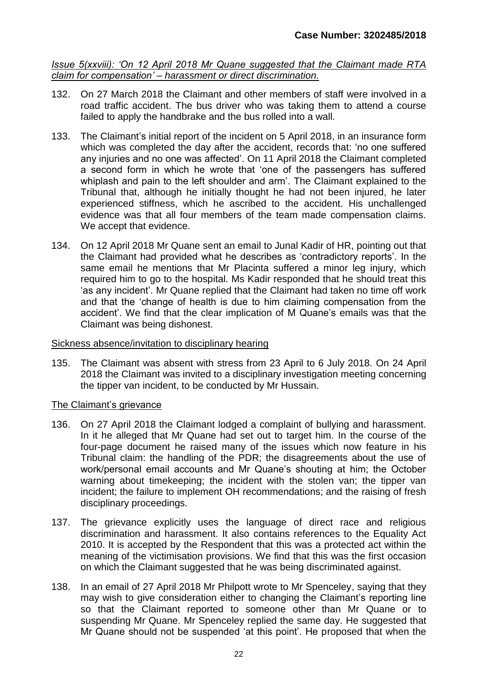*Issue 5(xxviii): 'On 12 April 2018 Mr Quane suggested that the Claimant made RTA claim for compensation' – harassment or direct discrimination.*

- 132. On 27 March 2018 the Claimant and other members of staff were involved in a road traffic accident. The bus driver who was taking them to attend a course failed to apply the handbrake and the bus rolled into a wall.
- 133. The Claimant's initial report of the incident on 5 April 2018, in an insurance form which was completed the day after the accident, records that: 'no one suffered any injuries and no one was affected'. On 11 April 2018 the Claimant completed a second form in which he wrote that 'one of the passengers has suffered whiplash and pain to the left shoulder and arm'. The Claimant explained to the Tribunal that, although he initially thought he had not been injured, he later experienced stiffness, which he ascribed to the accident. His unchallenged evidence was that all four members of the team made compensation claims. We accept that evidence.
- 134. On 12 April 2018 Mr Quane sent an email to Junal Kadir of HR, pointing out that the Claimant had provided what he describes as 'contradictory reports'. In the same email he mentions that Mr Placinta suffered a minor leg injury, which required him to go to the hospital. Ms Kadir responded that he should treat this 'as any incident'. Mr Quane replied that the Claimant had taken no time off work and that the 'change of health is due to him claiming compensation from the accident'. We find that the clear implication of M Quane's emails was that the Claimant was being dishonest.

#### Sickness absence/invitation to disciplinary hearing

135. The Claimant was absent with stress from 23 April to 6 July 2018. On 24 April 2018 the Claimant was invited to a disciplinary investigation meeting concerning the tipper van incident, to be conducted by Mr Hussain.

## The Claimant's grievance

- 136. On 27 April 2018 the Claimant lodged a complaint of bullying and harassment. In it he alleged that Mr Quane had set out to target him. In the course of the four-page document he raised many of the issues which now feature in his Tribunal claim: the handling of the PDR; the disagreements about the use of work/personal email accounts and Mr Quane's shouting at him; the October warning about timekeeping; the incident with the stolen van; the tipper van incident; the failure to implement OH recommendations; and the raising of fresh disciplinary proceedings.
- 137. The grievance explicitly uses the language of direct race and religious discrimination and harassment. It also contains references to the Equality Act 2010. It is accepted by the Respondent that this was a protected act within the meaning of the victimisation provisions. We find that this was the first occasion on which the Claimant suggested that he was being discriminated against.
- 138. In an email of 27 April 2018 Mr Philpott wrote to Mr Spenceley, saying that they may wish to give consideration either to changing the Claimant's reporting line so that the Claimant reported to someone other than Mr Quane or to suspending Mr Quane. Mr Spenceley replied the same day. He suggested that Mr Quane should not be suspended 'at this point'. He proposed that when the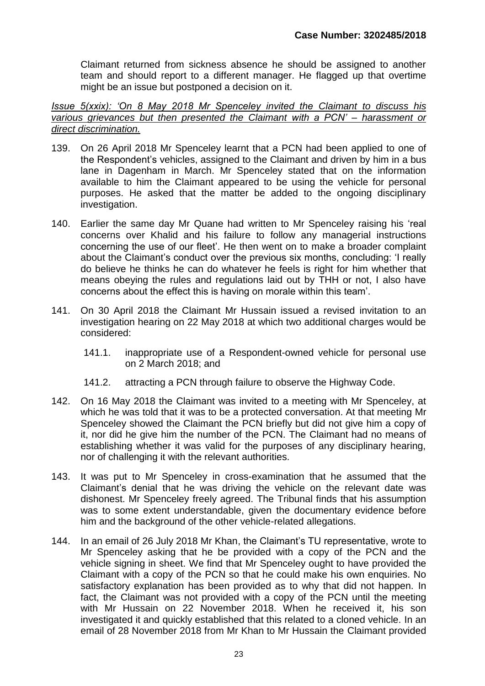Claimant returned from sickness absence he should be assigned to another team and should report to a different manager. He flagged up that overtime might be an issue but postponed a decision on it.

*Issue 5(xxix): 'On 8 May 2018 Mr Spenceley invited the Claimant to discuss his various grievances but then presented the Claimant with a PCN' – harassment or direct discrimination.*

- 139. On 26 April 2018 Mr Spenceley learnt that a PCN had been applied to one of the Respondent's vehicles, assigned to the Claimant and driven by him in a bus lane in Dagenham in March. Mr Spenceley stated that on the information available to him the Claimant appeared to be using the vehicle for personal purposes. He asked that the matter be added to the ongoing disciplinary investigation.
- 140. Earlier the same day Mr Quane had written to Mr Spenceley raising his 'real concerns over Khalid and his failure to follow any managerial instructions concerning the use of our fleet'. He then went on to make a broader complaint about the Claimant's conduct over the previous six months, concluding: 'I really do believe he thinks he can do whatever he feels is right for him whether that means obeying the rules and regulations laid out by THH or not, I also have concerns about the effect this is having on morale within this team'.
- 141. On 30 April 2018 the Claimant Mr Hussain issued a revised invitation to an investigation hearing on 22 May 2018 at which two additional charges would be considered:
	- 141.1. inappropriate use of a Respondent-owned vehicle for personal use on 2 March 2018; and
	- 141.2. attracting a PCN through failure to observe the Highway Code.
- 142. On 16 May 2018 the Claimant was invited to a meeting with Mr Spenceley, at which he was told that it was to be a protected conversation. At that meeting Mr Spenceley showed the Claimant the PCN briefly but did not give him a copy of it, nor did he give him the number of the PCN. The Claimant had no means of establishing whether it was valid for the purposes of any disciplinary hearing, nor of challenging it with the relevant authorities.
- 143. It was put to Mr Spenceley in cross-examination that he assumed that the Claimant's denial that he was driving the vehicle on the relevant date was dishonest. Mr Spenceley freely agreed. The Tribunal finds that his assumption was to some extent understandable, given the documentary evidence before him and the background of the other vehicle-related allegations.
- 144. In an email of 26 July 2018 Mr Khan, the Claimant's TU representative, wrote to Mr Spenceley asking that he be provided with a copy of the PCN and the vehicle signing in sheet. We find that Mr Spenceley ought to have provided the Claimant with a copy of the PCN so that he could make his own enquiries. No satisfactory explanation has been provided as to why that did not happen. In fact, the Claimant was not provided with a copy of the PCN until the meeting with Mr Hussain on 22 November 2018. When he received it, his son investigated it and quickly established that this related to a cloned vehicle. In an email of 28 November 2018 from Mr Khan to Mr Hussain the Claimant provided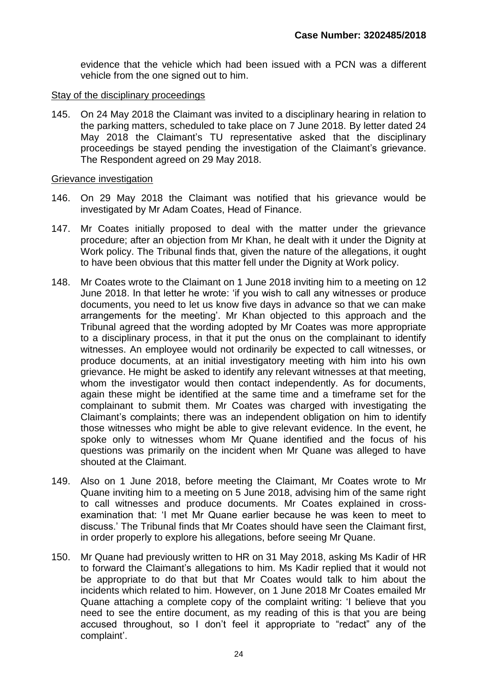evidence that the vehicle which had been issued with a PCN was a different vehicle from the one signed out to him.

#### Stay of the disciplinary proceedings

145. On 24 May 2018 the Claimant was invited to a disciplinary hearing in relation to the parking matters, scheduled to take place on 7 June 2018. By letter dated 24 May 2018 the Claimant's TU representative asked that the disciplinary proceedings be stayed pending the investigation of the Claimant's grievance. The Respondent agreed on 29 May 2018.

#### Grievance investigation

- 146. On 29 May 2018 the Claimant was notified that his grievance would be investigated by Mr Adam Coates, Head of Finance.
- 147. Mr Coates initially proposed to deal with the matter under the grievance procedure; after an objection from Mr Khan, he dealt with it under the Dignity at Work policy. The Tribunal finds that, given the nature of the allegations, it ought to have been obvious that this matter fell under the Dignity at Work policy.
- 148. Mr Coates wrote to the Claimant on 1 June 2018 inviting him to a meeting on 12 June 2018. In that letter he wrote: 'if you wish to call any witnesses or produce documents, you need to let us know five days in advance so that we can make arrangements for the meeting'. Mr Khan objected to this approach and the Tribunal agreed that the wording adopted by Mr Coates was more appropriate to a disciplinary process, in that it put the onus on the complainant to identify witnesses. An employee would not ordinarily be expected to call witnesses, or produce documents, at an initial investigatory meeting with him into his own grievance. He might be asked to identify any relevant witnesses at that meeting, whom the investigator would then contact independently. As for documents, again these might be identified at the same time and a timeframe set for the complainant to submit them. Mr Coates was charged with investigating the Claimant's complaints; there was an independent obligation on him to identify those witnesses who might be able to give relevant evidence. In the event, he spoke only to witnesses whom Mr Quane identified and the focus of his questions was primarily on the incident when Mr Quane was alleged to have shouted at the Claimant.
- 149. Also on 1 June 2018, before meeting the Claimant, Mr Coates wrote to Mr Quane inviting him to a meeting on 5 June 2018, advising him of the same right to call witnesses and produce documents. Mr Coates explained in crossexamination that: 'I met Mr Quane earlier because he was keen to meet to discuss.' The Tribunal finds that Mr Coates should have seen the Claimant first, in order properly to explore his allegations, before seeing Mr Quane.
- 150. Mr Quane had previously written to HR on 31 May 2018, asking Ms Kadir of HR to forward the Claimant's allegations to him. Ms Kadir replied that it would not be appropriate to do that but that Mr Coates would talk to him about the incidents which related to him. However, on 1 June 2018 Mr Coates emailed Mr Quane attaching a complete copy of the complaint writing: 'I believe that you need to see the entire document, as my reading of this is that you are being accused throughout, so I don't feel it appropriate to "redact" any of the complaint'.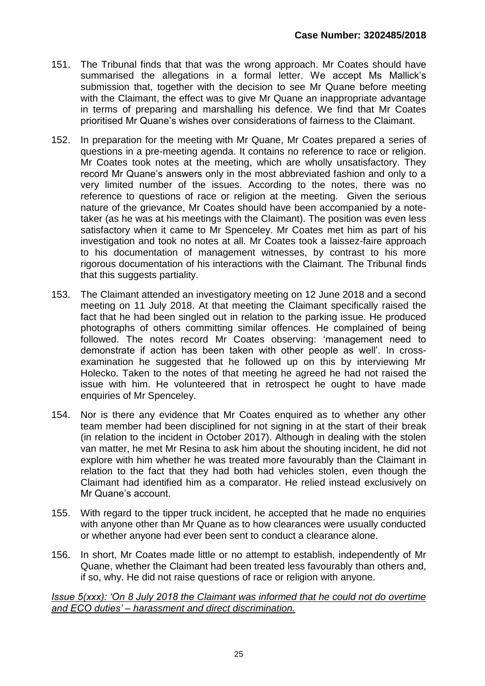- 151. The Tribunal finds that that was the wrong approach. Mr Coates should have summarised the allegations in a formal letter. We accept Ms Mallick's submission that, together with the decision to see Mr Quane before meeting with the Claimant, the effect was to give Mr Quane an inappropriate advantage in terms of preparing and marshalling his defence. We find that Mr Coates prioritised Mr Quane's wishes over considerations of fairness to the Claimant.
- 152. In preparation for the meeting with Mr Quane, Mr Coates prepared a series of questions in a pre-meeting agenda. It contains no reference to race or religion. Mr Coates took notes at the meeting, which are wholly unsatisfactory. They record Mr Quane's answers only in the most abbreviated fashion and only to a very limited number of the issues. According to the notes, there was no reference to questions of race or religion at the meeting. Given the serious nature of the grievance, Mr Coates should have been accompanied by a notetaker (as he was at his meetings with the Claimant). The position was even less satisfactory when it came to Mr Spenceley. Mr Coates met him as part of his investigation and took no notes at all. Mr Coates took a laissez-faire approach to his documentation of management witnesses, by contrast to his more rigorous documentation of his interactions with the Claimant. The Tribunal finds that this suggests partiality.
- 153. The Claimant attended an investigatory meeting on 12 June 2018 and a second meeting on 11 July 2018. At that meeting the Claimant specifically raised the fact that he had been singled out in relation to the parking issue. He produced photographs of others committing similar offences. He complained of being followed. The notes record Mr Coates observing: 'management need to demonstrate if action has been taken with other people as well'. In crossexamination he suggested that he followed up on this by interviewing Mr Holecko. Taken to the notes of that meeting he agreed he had not raised the issue with him. He volunteered that in retrospect he ought to have made enquiries of Mr Spenceley.
- 154. Nor is there any evidence that Mr Coates enquired as to whether any other team member had been disciplined for not signing in at the start of their break (in relation to the incident in October 2017). Although in dealing with the stolen van matter, he met Mr Resina to ask him about the shouting incident, he did not explore with him whether he was treated more favourably than the Claimant in relation to the fact that they had both had vehicles stolen, even though the Claimant had identified him as a comparator. He relied instead exclusively on Mr Quane's account.
- 155. With regard to the tipper truck incident, he accepted that he made no enquiries with anyone other than Mr Quane as to how clearances were usually conducted or whether anyone had ever been sent to conduct a clearance alone.
- 156. In short, Mr Coates made little or no attempt to establish, independently of Mr Quane, whether the Claimant had been treated less favourably than others and, if so, why. He did not raise questions of race or religion with anyone.

*Issue 5(xxx): 'On 8 July 2018 the Claimant was informed that he could not do overtime and ECO duties' – harassment and direct discrimination.*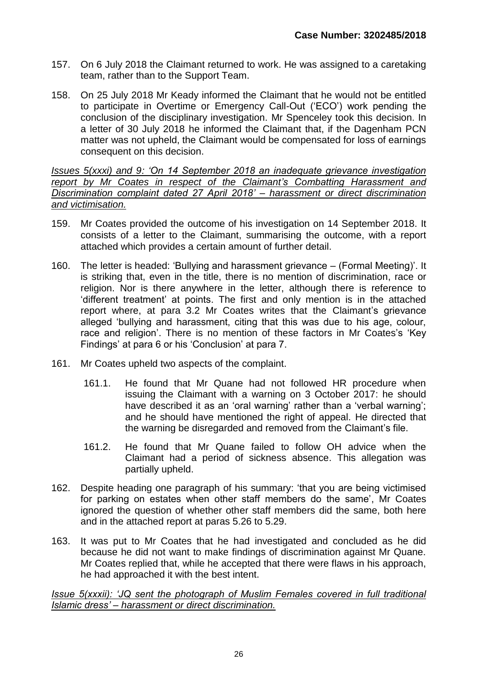- 157. On 6 July 2018 the Claimant returned to work. He was assigned to a caretaking team, rather than to the Support Team.
- 158. On 25 July 2018 Mr Keady informed the Claimant that he would not be entitled to participate in Overtime or Emergency Call-Out ('ECO') work pending the conclusion of the disciplinary investigation. Mr Spenceley took this decision. In a letter of 30 July 2018 he informed the Claimant that, if the Dagenham PCN matter was not upheld, the Claimant would be compensated for loss of earnings consequent on this decision.

*Issues 5(xxxi) and 9: 'On 14 September 2018 an inadequate grievance investigation report by Mr Coates in respect of the Claimant's Combatting Harassment and Discrimination complaint dated 27 April 2018' – harassment or direct discrimination and victimisation.*

- 159. Mr Coates provided the outcome of his investigation on 14 September 2018. It consists of a letter to the Claimant, summarising the outcome, with a report attached which provides a certain amount of further detail.
- 160. The letter is headed: 'Bullying and harassment grievance (Formal Meeting)'. It is striking that, even in the title, there is no mention of discrimination, race or religion. Nor is there anywhere in the letter, although there is reference to 'different treatment' at points. The first and only mention is in the attached report where, at para 3.2 Mr Coates writes that the Claimant's grievance alleged 'bullying and harassment, citing that this was due to his age, colour, race and religion'. There is no mention of these factors in Mr Coates's 'Key Findings' at para 6 or his 'Conclusion' at para 7.
- 161. Mr Coates upheld two aspects of the complaint.
	- 161.1. He found that Mr Quane had not followed HR procedure when issuing the Claimant with a warning on 3 October 2017: he should have described it as an 'oral warning' rather than a 'verbal warning'; and he should have mentioned the right of appeal. He directed that the warning be disregarded and removed from the Claimant's file.
	- 161.2. He found that Mr Quane failed to follow OH advice when the Claimant had a period of sickness absence. This allegation was partially upheld.
- 162. Despite heading one paragraph of his summary: 'that you are being victimised for parking on estates when other staff members do the same', Mr Coates ignored the question of whether other staff members did the same, both here and in the attached report at paras 5.26 to 5.29.
- 163. It was put to Mr Coates that he had investigated and concluded as he did because he did not want to make findings of discrimination against Mr Quane. Mr Coates replied that, while he accepted that there were flaws in his approach, he had approached it with the best intent.

*Issue 5(xxxii): 'JQ sent the photograph of Muslim Females covered in full traditional Islamic dress' – harassment or direct discrimination.*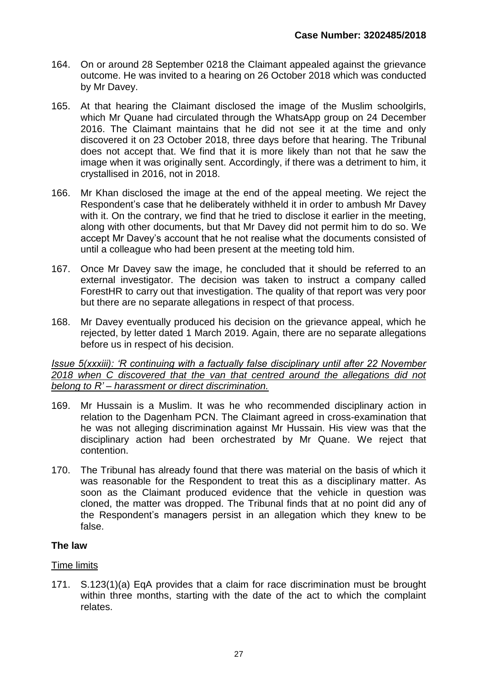- 164. On or around 28 September 0218 the Claimant appealed against the grievance outcome. He was invited to a hearing on 26 October 2018 which was conducted by Mr Davey.
- 165. At that hearing the Claimant disclosed the image of the Muslim schoolgirls, which Mr Quane had circulated through the WhatsApp group on 24 December 2016. The Claimant maintains that he did not see it at the time and only discovered it on 23 October 2018, three days before that hearing. The Tribunal does not accept that. We find that it is more likely than not that he saw the image when it was originally sent. Accordingly, if there was a detriment to him, it crystallised in 2016, not in 2018.
- 166. Mr Khan disclosed the image at the end of the appeal meeting. We reject the Respondent's case that he deliberately withheld it in order to ambush Mr Davey with it. On the contrary, we find that he tried to disclose it earlier in the meeting, along with other documents, but that Mr Davey did not permit him to do so. We accept Mr Davey's account that he not realise what the documents consisted of until a colleague who had been present at the meeting told him.
- 167. Once Mr Davey saw the image, he concluded that it should be referred to an external investigator. The decision was taken to instruct a company called ForestHR to carry out that investigation. The quality of that report was very poor but there are no separate allegations in respect of that process.
- 168. Mr Davey eventually produced his decision on the grievance appeal, which he rejected, by letter dated 1 March 2019. Again, there are no separate allegations before us in respect of his decision.

*Issue 5(xxxiii): 'R continuing with a factually false disciplinary until after 22 November 2018 when C discovered that the van that centred around the allegations did not belong to R' – harassment or direct discrimination.*

- 169. Mr Hussain is a Muslim. It was he who recommended disciplinary action in relation to the Dagenham PCN. The Claimant agreed in cross-examination that he was not alleging discrimination against Mr Hussain. His view was that the disciplinary action had been orchestrated by Mr Quane. We reject that contention.
- 170. The Tribunal has already found that there was material on the basis of which it was reasonable for the Respondent to treat this as a disciplinary matter. As soon as the Claimant produced evidence that the vehicle in question was cloned, the matter was dropped. The Tribunal finds that at no point did any of the Respondent's managers persist in an allegation which they knew to be false.

## **The law**

## Time limits

171. S.123(1)(a) EqA provides that a claim for race discrimination must be brought within three months, starting with the date of the act to which the complaint relates.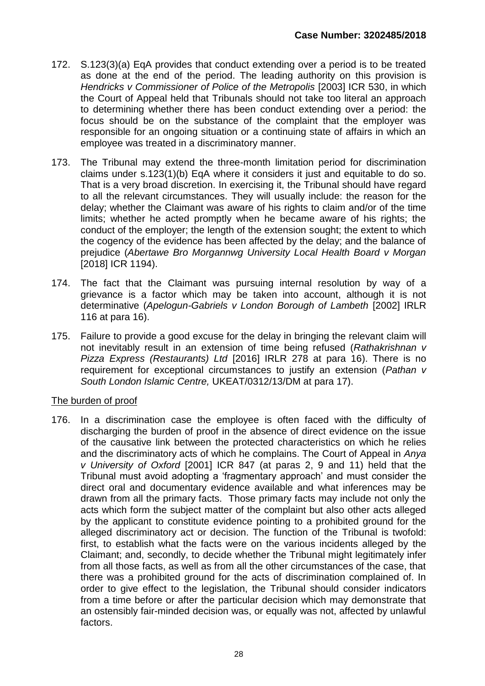- 172. S.123(3)(a) EqA provides that conduct extending over a period is to be treated as done at the end of the period. The leading authority on this provision is *Hendricks v Commissioner of Police of the Metropolis* [2003] ICR 530, in which the Court of Appeal held that Tribunals should not take too literal an approach to determining whether there has been conduct extending over a period: the focus should be on the substance of the complaint that the employer was responsible for an ongoing situation or a continuing state of affairs in which an employee was treated in a discriminatory manner.
- 173. The Tribunal may extend the three-month limitation period for discrimination claims under s.123(1)(b) EqA where it considers it just and equitable to do so. That is a very broad discretion. In exercising it, the Tribunal should have regard to all the relevant circumstances. They will usually include: the reason for the delay; whether the Claimant was aware of his rights to claim and/or of the time limits; whether he acted promptly when he became aware of his rights; the conduct of the employer; the length of the extension sought; the extent to which the cogency of the evidence has been affected by the delay; and the balance of prejudice (*Abertawe Bro Morgannwg University Local Health Board v Morgan* [2018] ICR 1194).
- 174. The fact that the Claimant was pursuing internal resolution by way of a grievance is a factor which may be taken into account, although it is not determinative (*Apelogun-Gabriels v London Borough of Lambeth* [2002] IRLR 116 at para 16).
- 175. Failure to provide a good excuse for the delay in bringing the relevant claim will not inevitably result in an extension of time being refused (*Rathakrishnan v Pizza Express (Restaurants) Ltd* [2016] IRLR 278 at para 16). There is no requirement for exceptional circumstances to justify an extension (*Pathan v South London Islamic Centre,* UKEAT/0312/13/DM at para 17).

## The burden of proof

176. In a discrimination case the employee is often faced with the difficulty of discharging the burden of proof in the absence of direct evidence on the issue of the causative link between the protected characteristics on which he relies and the discriminatory acts of which he complains. The Court of Appeal in *Anya v University of Oxford* [2001] ICR 847 (at paras 2, 9 and 11) held that the Tribunal must avoid adopting a 'fragmentary approach' and must consider the direct oral and documentary evidence available and what inferences may be drawn from all the primary facts. Those primary facts may include not only the acts which form the subject matter of the complaint but also other acts alleged by the applicant to constitute evidence pointing to a prohibited ground for the alleged discriminatory act or decision. The function of the Tribunal is twofold: first, to establish what the facts were on the various incidents alleged by the Claimant; and, secondly, to decide whether the Tribunal might legitimately infer from all those facts, as well as from all the other circumstances of the case, that there was a prohibited ground for the acts of discrimination complained of. In order to give effect to the legislation, the Tribunal should consider indicators from a time before or after the particular decision which may demonstrate that an ostensibly fair-minded decision was, or equally was not, affected by unlawful factors.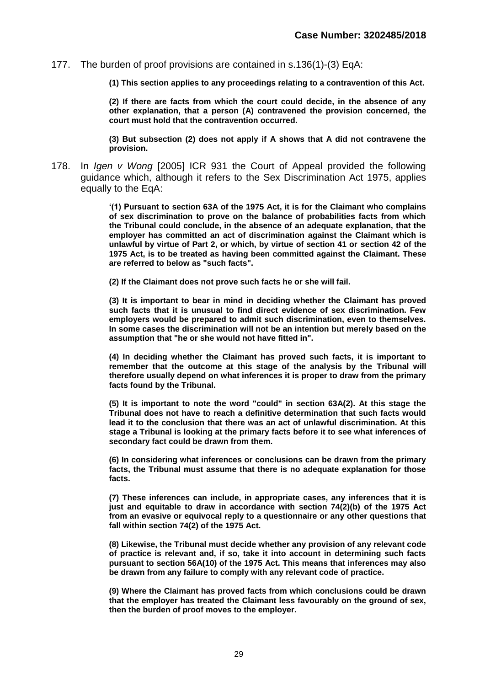177. The burden of proof provisions are contained in s.136(1)-(3) EqA:

**(1) This section applies to any proceedings relating to a contravention of this Act.**

**(2) If there are facts from which the court could decide, in the absence of any other explanation, that a person (A) contravened the provision concerned, the court must hold that the contravention occurred.**

**(3) But subsection (2) does not apply if A shows that A did not contravene the provision.**

178. In *Igen v Wong* [2005] ICR 931 the Court of Appeal provided the following guidance which, although it refers to the Sex Discrimination Act 1975, applies equally to the EqA:

> **'(1) Pursuant to [section 63A](http://login.westlaw.co.uk/maf/wluk/app/document?src=doc&linktype=ref&context=26&crumb-action=replace&docguid=I6F583C10E44911DA8D70A0E70A78ED65) of the 1975 Act, it is for the Claimant who complains of sex discrimination to prove on the balance of probabilities facts from which the Tribunal could conclude, in the absence of an adequate explanation, that the employer has committed an act of discrimination against the Claimant which is unlawful by virtue of Part 2, or which, by virtue of section 41 or [section 42](http://login.westlaw.co.uk/maf/wluk/app/document?src=doc&linktype=ref&context=26&crumb-action=replace&docguid=I6F44DB20E44911DA8D70A0E70A78ED65) of the 1975 Act, is to be treated as having been committed against the Claimant. These are referred to below as "such facts".**

**(2) If the Claimant does not prove such facts he or she will fail.**

**(3) It is important to bear in mind in deciding whether the Claimant has proved such facts that it is unusual to find direct evidence of sex discrimination. Few employers would be prepared to admit such discrimination, even to themselves. In some cases the discrimination will not be an intention but merely based on the assumption that "he or she would not have fitted in".**

**(4) In deciding whether the Claimant has proved such facts, it is important to remember that the outcome at this stage of the analysis by the Tribunal will therefore usually depend on what inferences it is proper to draw from the primary facts found by the Tribunal.**

**(5) It is important to note the word "could" in section 63A(2). At this stage the Tribunal does not have to reach a definitive determination that such facts would lead it to the conclusion that there was an act of unlawful discrimination. At this stage a Tribunal is looking at the primary facts before it to see what inferences of secondary fact could be drawn from them.**

**(6) In considering what inferences or conclusions can be drawn from the primary facts, the Tribunal must assume that there is no adequate explanation for those facts.**

**(7) These inferences can include, in appropriate cases, any inferences that it is just and equitable to draw in accordance with [section 74\(2\)\(b\)](http://login.westlaw.co.uk/maf/wluk/app/document?src=doc&linktype=ref&context=26&crumb-action=replace&docguid=I5A37C1C0E44911DA8D70A0E70A78ED65) of the 1975 Act from an evasive or equivocal reply to a questionnaire or any other questions that fall within section 74(2) of the 1975 Act.**

**(8) Likewise, the Tribunal must decide whether any provision of any relevant code of practice is relevant and, if so, take it into account in determining such facts pursuant to [section 56A\(10\)](http://login.westlaw.co.uk/maf/wluk/app/document?src=doc&linktype=ref&context=26&crumb-action=replace&docguid=IFA924880E44811DA8D70A0E70A78ED65) of the 1975 Act. This means that inferences may also be drawn from any failure to comply with any relevant code of practice.**

**(9) Where the Claimant has proved facts from which conclusions could be drawn that the employer has treated the Claimant less favourably on the ground of sex, then the burden of proof moves to the employer.**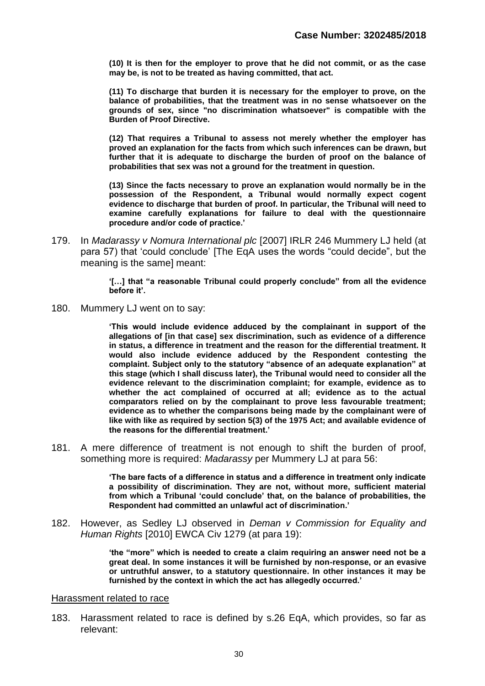**(10) It is then for the employer to prove that he did not commit, or as the case may be, is not to be treated as having committed, that act.**

**(11) To discharge that burden it is necessary for the employer to prove, on the balance of probabilities, that the treatment was in no sense whatsoever on the grounds of sex, since "no discrimination whatsoever" is compatible with the Burden of Proof Directive.**

**(12) That requires a Tribunal to assess not merely whether the employer has proved an explanation for the facts from which such inferences can be drawn, but further that it is adequate to discharge the burden of proof on the balance of probabilities that sex was not a ground for the treatment in question.**

**(13) Since the facts necessary to prove an explanation would normally be in the possession of the Respondent, a Tribunal would normally expect cogent evidence to discharge that burden of proof. In particular, the Tribunal will need to examine carefully explanations for failure to deal with the questionnaire procedure and/or code of practice.'**

179. In *Madarassy v Nomura International plc* [2007] IRLR 246 Mummery LJ held (at para 57) that 'could conclude' [The EqA uses the words "could decide", but the meaning is the same] meant:

> **'[…] that "a reasonable Tribunal could properly conclude" from all the evidence before it'.**

180. Mummery LJ went on to say:

**'This would include evidence adduced by the complainant in support of the allegations of [in that case] sex discrimination, such as evidence of a difference in status, a difference in treatment and the reason for the differential treatment. It would also include evidence adduced by the Respondent contesting the complaint. Subject only to the statutory "absence of an adequate explanation" at this stage (which I shall discuss later), the Tribunal would need to consider all the evidence relevant to the discrimination complaint; for example, evidence as to whether the act complained of occurred at all; evidence as to the actual comparators relied on by the complainant to prove less favourable treatment; evidence as to whether the comparisons being made by the complainant were of like with like as required by section 5(3) of the 1975 Act; and available evidence of the reasons for the differential treatment.'**

181. A mere difference of treatment is not enough to shift the burden of proof, something more is required: *Madarassy* per Mummery LJ at para 56:

> **'The bare facts of a difference in status and a difference in treatment only indicate a possibility of discrimination. They are not, without more, sufficient material from which a Tribunal 'could conclude' that, on the balance of probabilities, the Respondent had committed an unlawful act of discrimination.'**

182. However, as Sedley LJ observed in *Deman v Commission for Equality and Human Rights* [2010] EWCA Civ 1279 (at para 19):

> **'the "more" which is needed to create a claim requiring an answer need not be a great deal. In some instances it will be furnished by non-response, or an evasive or untruthful answer, to a statutory questionnaire. In other instances it may be furnished by the context in which the act has allegedly occurred.'**

#### Harassment related to race

183. Harassment related to race is defined by s.26 EqA, which provides, so far as relevant: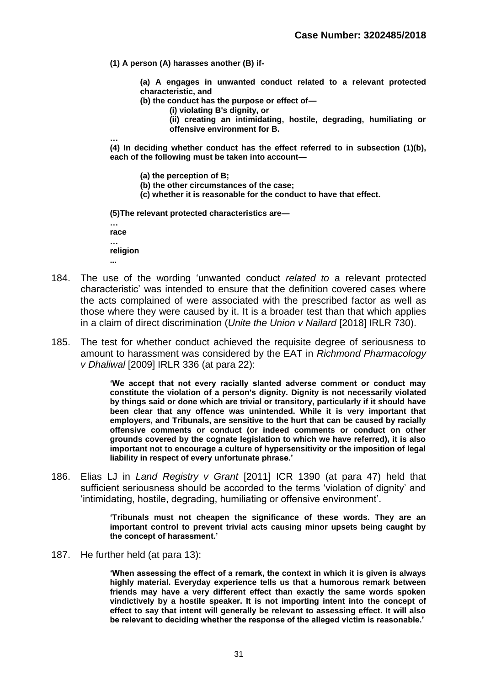**(1) A person (A) harasses another (B) if-**

**(a) A engages in unwanted conduct related to a relevant protected characteristic, and**

**(b) the conduct has the purpose or effect of—**

**(i) violating B's dignity, or**

**(ii) creating an intimidating, hostile, degrading, humiliating or offensive environment for B.**

**…**

**(4) In deciding whether conduct has the effect referred to in subsection (1)(b), each of the following must be taken into account—**

**(a) the perception of B;**

- **(b) the other circumstances of the case;**
- **(c) whether it is reasonable for the conduct to have that effect.**

**(5)The relevant protected characteristics are—**

**… race**

**… religion**

**...**

- 184. The use of the wording 'unwanted conduct *related to* a relevant protected characteristic' was intended to ensure that the definition covered cases where the acts complained of were associated with the prescribed factor as well as those where they were caused by it. It is a broader test than that which applies in a claim of direct discrimination (*Unite the Union v Nailard* [2018] IRLR 730).
- 185. The test for whether conduct achieved the requisite degree of seriousness to amount to harassment was considered by the EAT in *Richmond Pharmacology v Dhaliwal* [2009] IRLR 336 (at para 22):

**'We accept that not every racially slanted adverse comment or conduct may constitute the violation of a person's dignity. Dignity is not necessarily violated by things said or done which are trivial or transitory, particularly if it should have been clear that any offence was unintended. While it is very important that employers, and Tribunals, are sensitive to the hurt that can be caused by racially offensive comments or conduct (or indeed comments or conduct on other grounds covered by the cognate legislation to which we have referred), it is also important not to encourage a culture of hypersensitivity or the imposition of legal liability in respect of every unfortunate phrase.'**

186. Elias LJ in *Land Registry v Grant* [2011] ICR 1390 (at para 47) held that sufficient seriousness should be accorded to the terms 'violation of dignity' and 'intimidating, hostile, degrading, humiliating or offensive environment'.

> **'Tribunals must not cheapen the significance of these words. They are an important control to prevent trivial acts causing minor upsets being caught by the concept of harassment.'**

187. He further held (at para 13):

**'When assessing the effect of a remark, the context in which it is given is always highly material. Everyday experience tells us that a humorous remark between friends may have a very different effect than exactly the same words spoken vindictively by a hostile speaker. It is not importing intent into the concept of effect to say that intent will generally be relevant to assessing effect. It will also be relevant to deciding whether the response of the alleged victim is reasonable.'**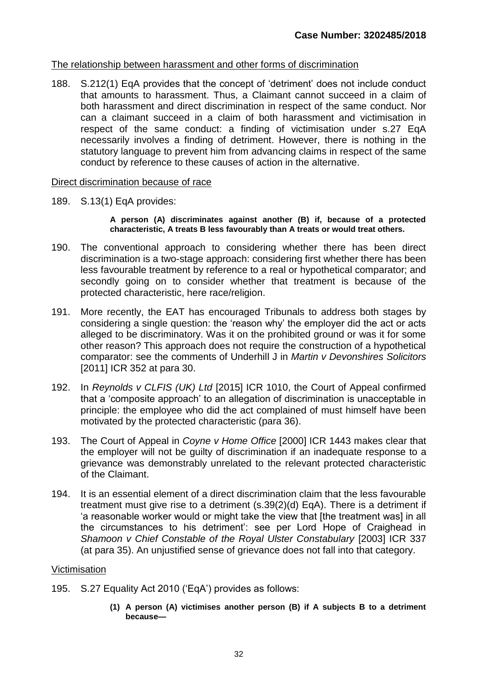## The relationship between harassment and other forms of discrimination

188. [S.212\(1\) EqA](https://uk.practicallaw.thomsonreuters.com/Link/Document/FullText?findType=Y&serNum=0350675354&pubNum=121177&originatingDoc=IB67540609A7811E7AEADDD151F2485E2&refType=UL&originationContext=document&transitionType=CommentaryUKLink&contextData=(sc.Category)) provides that the concept of 'detriment' does not include conduct that amounts to harassment. Thus, a Claimant cannot succeed in a claim of both harassment and direct discrimination in respect of the same conduct. Nor can a claimant succeed in a claim of both harassment and victimisation in respect of the same conduct: a finding of victimisation under s.27 EqA necessarily involves a finding of detriment. However, there is nothing in the statutory language to prevent him from advancing claims in respect of the same conduct by reference to these causes of action in the alternative.

#### Direct discrimination because of race

189. S.13(1) EqA provides:

**A person (A) discriminates against another (B) if, because of a protected characteristic, A treats B less favourably than A treats or would treat others.**

- 190. The conventional approach to considering whether there has been direct discrimination is a two-stage approach: considering first whether there has been less favourable treatment by reference to a real or hypothetical comparator; and secondly going on to consider whether that treatment is because of the protected characteristic, here race/religion.
- 191. More recently, the EAT has encouraged Tribunals to address both stages by considering a single question: the 'reason why' the employer did the act or acts alleged to be discriminatory. Was it on the prohibited ground or was it for some other reason? This approach does not require the construction of a hypothetical comparator: see the comments of Underhill J in *Martin v Devonshires Solicitors* [2011] ICR 352 at para 30.
- 192. In *Reynolds v CLFIS (UK) Ltd* [2015] ICR 1010, the Court of Appeal confirmed that a 'composite approach' to an allegation of discrimination is unacceptable in principle: the employee who did the act complained of must himself have been motivated by the protected characteristic (para 36).
- 193. The Court of Appeal in *[Coyne v Home Office](https://uk.practicallaw.thomsonreuters.com/Link/Document/FullText?findType=Y&serNum=2000454266&pubNum=4740&originatingDoc=IB30D0F209A7811E7AEADDD151F2485E2&refType=UC&originationContext=document&transitionType=CommentaryUKLink&contextData=(sc.Category))* [2000] ICR 1443 makes clear that the employer will not be guilty of discrimination if an inadequate response to a grievance was demonstrably unrelated to the relevant protected characteristic of the Claimant.
- 194. It is an essential element of a direct discrimination claim that the less favourable treatment must give rise to a detriment (s.39(2)(d) EqA). There is a detriment if 'a reasonable worker would or might take the view that [the treatment was] in all the circumstances to his detriment': see per Lord Hope of Craighead in *[Shamoon v Chief Constable of the Royal Ulster Constabulary](http://login.westlaw.co.uk/maf/wluk/app/document?src=doc&linktype=ref&&context=7&crumb-action=replace&docguid=IA0663AD1E42811DA8FC2A0F0355337E9)* [2003] ICR 337 (at para 35). An unjustified sense of grievance does not fall into that category.

#### **Victimisation**

- 195. S.27 Equality Act 2010 ('EqA') provides as follows:
	- **(1) A person (A) victimises another person (B) if A subjects B to a detriment because—**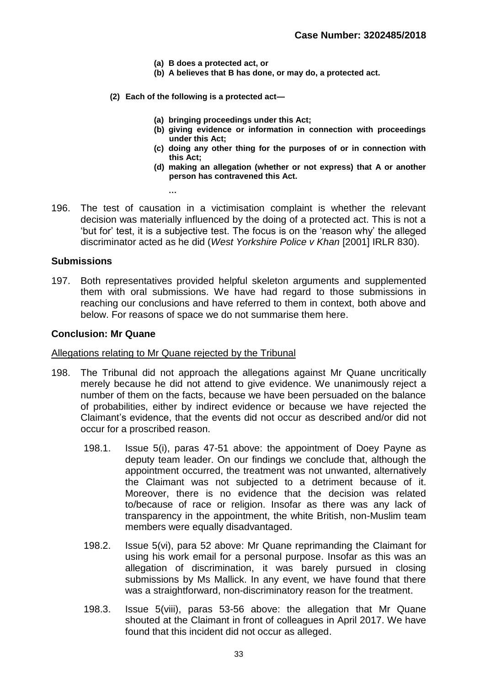- **(a) B does a protected act, or**
- **(b) A believes that B has done, or may do, a protected act.**
- **(2) Each of the following is a protected act—**
	- **(a) bringing proceedings under this Act;**
	- **(b) giving evidence or information in connection with proceedings under this Act;**
	- **(c) doing any other thing for the purposes of or in connection with this Act;**
	- **(d) making an allegation (whether or not express) that A or another person has contravened this Act.**
- 196. The test of causation in a victimisation complaint is whether the relevant decision was materially influenced by the doing of a protected act. This is not a 'but for' test, it is a subjective test. The focus is on the 'reason why' the alleged discriminator acted as he did (*West Yorkshire Police v Khan* [2001] IRLR 830).

#### **Submissions**

197. Both representatives provided helpful skeleton arguments and supplemented them with oral submissions. We have had regard to those submissions in reaching our conclusions and have referred to them in context, both above and below. For reasons of space we do not summarise them here.

#### **Conclusion: Mr Quane**

#### Allegations relating to Mr Quane rejected by the Tribunal

**…**

- 198. The Tribunal did not approach the allegations against Mr Quane uncritically merely because he did not attend to give evidence. We unanimously reject a number of them on the facts, because we have been persuaded on the balance of probabilities, either by indirect evidence or because we have rejected the Claimant's evidence, that the events did not occur as described and/or did not occur for a proscribed reason.
	- 198.1. Issue 5(i), paras 47-51 above: the appointment of Doey Payne as deputy team leader. On our findings we conclude that, although the appointment occurred, the treatment was not unwanted, alternatively the Claimant was not subjected to a detriment because of it. Moreover, there is no evidence that the decision was related to/because of race or religion. Insofar as there was any lack of transparency in the appointment, the white British, non-Muslim team members were equally disadvantaged.
	- 198.2. Issue 5(vi), para 52 above: Mr Quane reprimanding the Claimant for using his work email for a personal purpose. Insofar as this was an allegation of discrimination, it was barely pursued in closing submissions by Ms Mallick. In any event, we have found that there was a straightforward, non-discriminatory reason for the treatment.
	- 198.3. Issue 5(viii), paras 53-56 above: the allegation that Mr Quane shouted at the Claimant in front of colleagues in April 2017. We have found that this incident did not occur as alleged.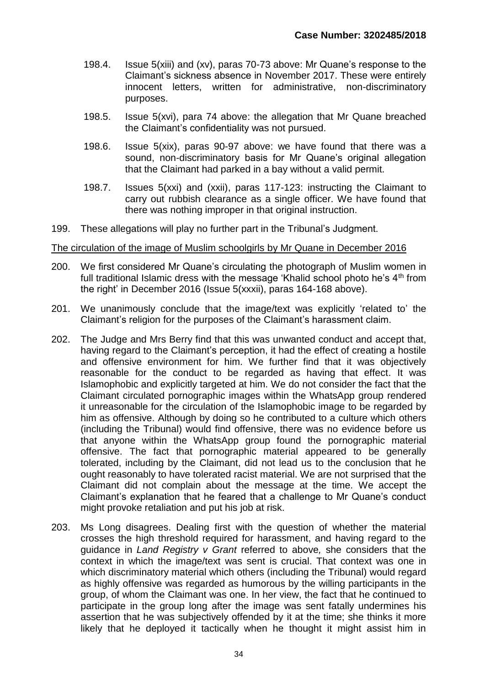- 198.4. Issue 5(xiii) and (xv), paras 70-73 above: Mr Quane's response to the Claimant's sickness absence in November 2017. These were entirely innocent letters, written for administrative, non-discriminatory purposes.
- 198.5. Issue 5(xvi), para 74 above: the allegation that Mr Quane breached the Claimant's confidentiality was not pursued.
- 198.6. Issue 5(xix), paras 90-97 above: we have found that there was a sound, non-discriminatory basis for Mr Quane's original allegation that the Claimant had parked in a bay without a valid permit.
- 198.7. Issues 5(xxi) and (xxii), paras 117-123: instructing the Claimant to carry out rubbish clearance as a single officer. We have found that there was nothing improper in that original instruction.
- 199. These allegations will play no further part in the Tribunal's Judgment.

#### The circulation of the image of Muslim schoolgirls by Mr Quane in December 2016

- 200. We first considered Mr Quane's circulating the photograph of Muslim women in full traditional Islamic dress with the message 'Khalid school photo he's  $4<sup>th</sup>$  from the right' in December 2016 (Issue 5(xxxii), paras 164-168 above).
- 201. We unanimously conclude that the image/text was explicitly 'related to' the Claimant's religion for the purposes of the Claimant's harassment claim.
- 202. The Judge and Mrs Berry find that this was unwanted conduct and accept that, having regard to the Claimant's perception, it had the effect of creating a hostile and offensive environment for him. We further find that it was objectively reasonable for the conduct to be regarded as having that effect. It was Islamophobic and explicitly targeted at him. We do not consider the fact that the Claimant circulated pornographic images within the WhatsApp group rendered it unreasonable for the circulation of the Islamophobic image to be regarded by him as offensive. Although by doing so he contributed to a culture which others (including the Tribunal) would find offensive, there was no evidence before us that anyone within the WhatsApp group found the pornographic material offensive. The fact that pornographic material appeared to be generally tolerated, including by the Claimant, did not lead us to the conclusion that he ought reasonably to have tolerated racist material. We are not surprised that the Claimant did not complain about the message at the time. We accept the Claimant's explanation that he feared that a challenge to Mr Quane's conduct might provoke retaliation and put his job at risk.
- 203. Ms Long disagrees. Dealing first with the question of whether the material crosses the high threshold required for harassment, and having regard to the guidance in *Land Registry v Grant* referred to above*,* she considers that the context in which the image/text was sent is crucial. That context was one in which discriminatory material which others (including the Tribunal) would regard as highly offensive was regarded as humorous by the willing participants in the group, of whom the Claimant was one. In her view, the fact that he continued to participate in the group long after the image was sent fatally undermines his assertion that he was subjectively offended by it at the time; she thinks it more likely that he deployed it tactically when he thought it might assist him in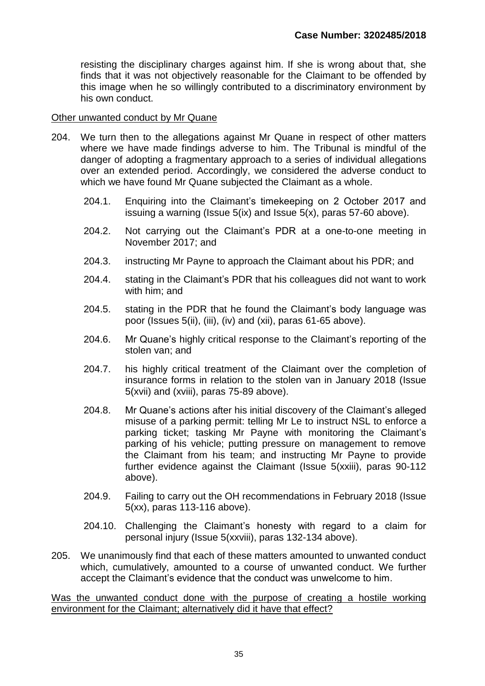resisting the disciplinary charges against him. If she is wrong about that, she finds that it was not objectively reasonable for the Claimant to be offended by this image when he so willingly contributed to a discriminatory environment by his own conduct.

#### Other unwanted conduct by Mr Quane

- 204. We turn then to the allegations against Mr Quane in respect of other matters where we have made findings adverse to him. The Tribunal is mindful of the danger of adopting a fragmentary approach to a series of individual allegations over an extended period. Accordingly, we considered the adverse conduct to which we have found Mr Quane subjected the Claimant as a whole.
	- 204.1. Enquiring into the Claimant's timekeeping on 2 October 2017 and issuing a warning (Issue 5(ix) and Issue 5(x), paras 57-60 above).
	- 204.2. Not carrying out the Claimant's PDR at a one-to-one meeting in November 2017; and
	- 204.3. instructing Mr Payne to approach the Claimant about his PDR; and
	- 204.4. stating in the Claimant's PDR that his colleagues did not want to work with him; and
	- 204.5. stating in the PDR that he found the Claimant's body language was poor (Issues 5(ii), (iii), (iv) and (xii), paras 61-65 above).
	- 204.6. Mr Quane's highly critical response to the Claimant's reporting of the stolen van; and
	- 204.7. his highly critical treatment of the Claimant over the completion of insurance forms in relation to the stolen van in January 2018 (Issue 5(xvii) and (xviii), paras 75-89 above).
	- 204.8. Mr Quane's actions after his initial discovery of the Claimant's alleged misuse of a parking permit: telling Mr Le to instruct NSL to enforce a parking ticket; tasking Mr Payne with monitoring the Claimant's parking of his vehicle; putting pressure on management to remove the Claimant from his team; and instructing Mr Payne to provide further evidence against the Claimant (Issue 5(xxiii), paras 90-112 above).
	- 204.9. Failing to carry out the OH recommendations in February 2018 (Issue 5(xx), paras 113-116 above).
	- 204.10. Challenging the Claimant's honesty with regard to a claim for personal injury (Issue 5(xxviii), paras 132-134 above).
- 205. We unanimously find that each of these matters amounted to unwanted conduct which, cumulatively, amounted to a course of unwanted conduct. We further accept the Claimant's evidence that the conduct was unwelcome to him.

Was the unwanted conduct done with the purpose of creating a hostile working environment for the Claimant; alternatively did it have that effect?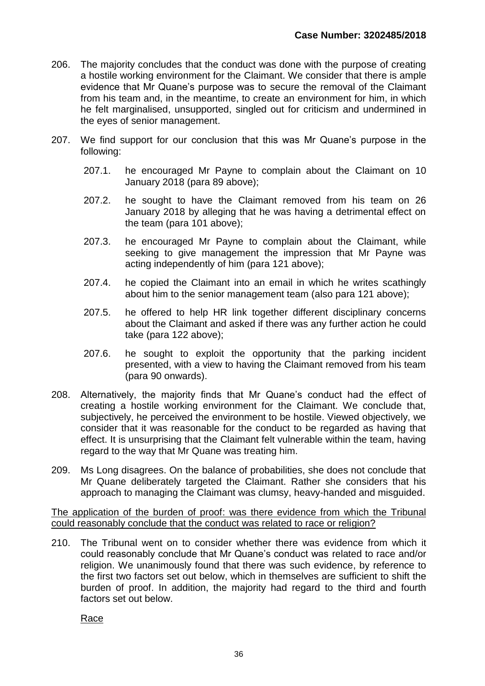- 206. The majority concludes that the conduct was done with the purpose of creating a hostile working environment for the Claimant. We consider that there is ample evidence that Mr Quane's purpose was to secure the removal of the Claimant from his team and, in the meantime, to create an environment for him, in which he felt marginalised, unsupported, singled out for criticism and undermined in the eyes of senior management.
- 207. We find support for our conclusion that this was Mr Quane's purpose in the following:
	- 207.1. he encouraged Mr Payne to complain about the Claimant on 10 January 2018 (para 89 above);
	- 207.2. he sought to have the Claimant removed from his team on 26 January 2018 by alleging that he was having a detrimental effect on the team (para 101 above);
	- 207.3. he encouraged Mr Payne to complain about the Claimant, while seeking to give management the impression that Mr Payne was acting independently of him (para 121 above);
	- 207.4. he copied the Claimant into an email in which he writes scathingly about him to the senior management team (also para 121 above);
	- 207.5. he offered to help HR link together different disciplinary concerns about the Claimant and asked if there was any further action he could take (para 122 above);
	- 207.6. he sought to exploit the opportunity that the parking incident presented, with a view to having the Claimant removed from his team (para 90 onwards).
- 208. Alternatively, the majority finds that Mr Quane's conduct had the effect of creating a hostile working environment for the Claimant. We conclude that, subjectively, he perceived the environment to be hostile. Viewed objectively, we consider that it was reasonable for the conduct to be regarded as having that effect. It is unsurprising that the Claimant felt vulnerable within the team, having regard to the way that Mr Quane was treating him.
- 209. Ms Long disagrees. On the balance of probabilities, she does not conclude that Mr Quane deliberately targeted the Claimant. Rather she considers that his approach to managing the Claimant was clumsy, heavy-handed and misguided.

The application of the burden of proof: was there evidence from which the Tribunal could reasonably conclude that the conduct was related to race or religion?

210. The Tribunal went on to consider whether there was evidence from which it could reasonably conclude that Mr Quane's conduct was related to race and/or religion. We unanimously found that there was such evidence, by reference to the first two factors set out below, which in themselves are sufficient to shift the burden of proof. In addition, the majority had regard to the third and fourth factors set out below.

Race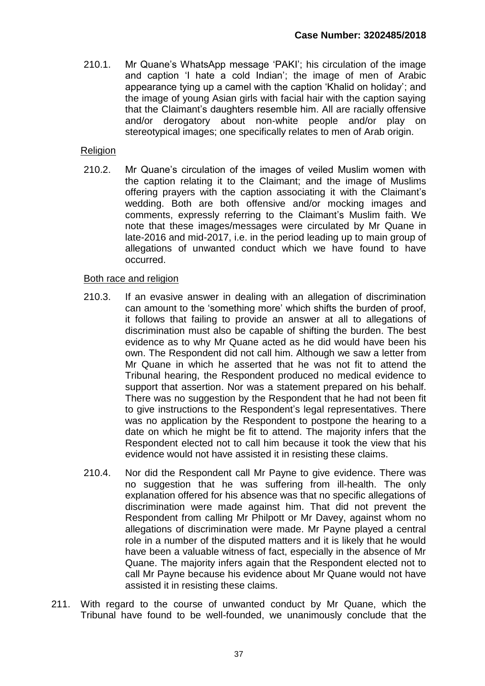210.1. Mr Quane's WhatsApp message 'PAKI'; his circulation of the image and caption 'I hate a cold Indian'; the image of men of Arabic appearance tying up a camel with the caption 'Khalid on holiday'; and the image of young Asian girls with facial hair with the caption saying that the Claimant's daughters resemble him. All are racially offensive and/or derogatory about non-white people and/or play on stereotypical images; one specifically relates to men of Arab origin.

## Religion

210.2. Mr Quane's circulation of the images of veiled Muslim women with the caption relating it to the Claimant; and the image of Muslims offering prayers with the caption associating it with the Claimant's wedding. Both are both offensive and/or mocking images and comments, expressly referring to the Claimant's Muslim faith. We note that these images/messages were circulated by Mr Quane in late-2016 and mid-2017, i.e. in the period leading up to main group of allegations of unwanted conduct which we have found to have occurred.

## Both race and religion

- 210.3. If an evasive answer in dealing with an allegation of discrimination can amount to the 'something more' which shifts the burden of proof, it follows that failing to provide an answer at all to allegations of discrimination must also be capable of shifting the burden. The best evidence as to why Mr Quane acted as he did would have been his own. The Respondent did not call him. Although we saw a letter from Mr Quane in which he asserted that he was not fit to attend the Tribunal hearing, the Respondent produced no medical evidence to support that assertion. Nor was a statement prepared on his behalf. There was no suggestion by the Respondent that he had not been fit to give instructions to the Respondent's legal representatives. There was no application by the Respondent to postpone the hearing to a date on which he might be fit to attend. The majority infers that the Respondent elected not to call him because it took the view that his evidence would not have assisted it in resisting these claims.
- 210.4. Nor did the Respondent call Mr Payne to give evidence. There was no suggestion that he was suffering from ill-health. The only explanation offered for his absence was that no specific allegations of discrimination were made against him. That did not prevent the Respondent from calling Mr Philpott or Mr Davey, against whom no allegations of discrimination were made. Mr Payne played a central role in a number of the disputed matters and it is likely that he would have been a valuable witness of fact, especially in the absence of Mr Quane. The majority infers again that the Respondent elected not to call Mr Payne because his evidence about Mr Quane would not have assisted it in resisting these claims.
- 211. With regard to the course of unwanted conduct by Mr Quane, which the Tribunal have found to be well-founded, we unanimously conclude that the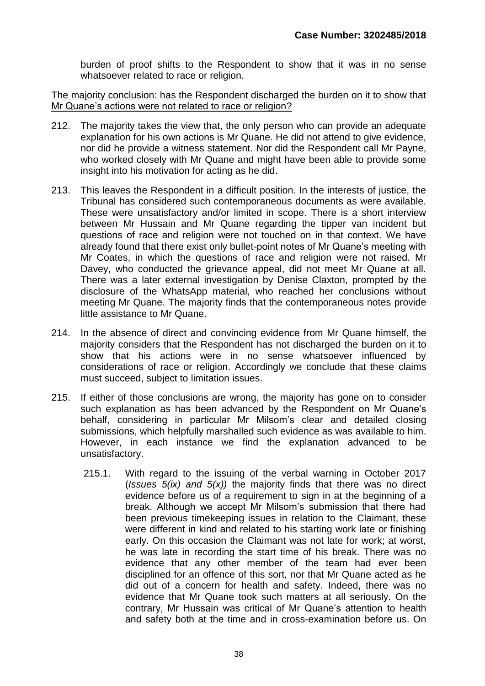burden of proof shifts to the Respondent to show that it was in no sense whatsoever related to race or religion.

The majority conclusion: has the Respondent discharged the burden on it to show that Mr Quane's actions were not related to race or religion?

- 212. The majority takes the view that, the only person who can provide an adequate explanation for his own actions is Mr Quane. He did not attend to give evidence, nor did he provide a witness statement. Nor did the Respondent call Mr Payne, who worked closely with Mr Quane and might have been able to provide some insight into his motivation for acting as he did.
- 213. This leaves the Respondent in a difficult position. In the interests of justice, the Tribunal has considered such contemporaneous documents as were available. These were unsatisfactory and/or limited in scope. There is a short interview between Mr Hussain and Mr Quane regarding the tipper van incident but questions of race and religion were not touched on in that context. We have already found that there exist only bullet-point notes of Mr Quane's meeting with Mr Coates, in which the questions of race and religion were not raised. Mr Davey, who conducted the grievance appeal, did not meet Mr Quane at all. There was a later external investigation by Denise Claxton, prompted by the disclosure of the WhatsApp material, who reached her conclusions without meeting Mr Quane. The majority finds that the contemporaneous notes provide little assistance to Mr Quane.
- 214. In the absence of direct and convincing evidence from Mr Quane himself, the majority considers that the Respondent has not discharged the burden on it to show that his actions were in no sense whatsoever influenced by considerations of race or religion. Accordingly we conclude that these claims must succeed, subject to limitation issues.
- 215. If either of those conclusions are wrong, the majority has gone on to consider such explanation as has been advanced by the Respondent on Mr Quane's behalf, considering in particular Mr Milsom's clear and detailed closing submissions, which helpfully marshalled such evidence as was available to him. However, in each instance we find the explanation advanced to be unsatisfactory.
	- 215.1. With regard to the issuing of the verbal warning in October 2017 (*Issues 5(ix) and 5(x))* the majority finds that there was no direct evidence before us of a requirement to sign in at the beginning of a break. Although we accept Mr Milsom's submission that there had been previous timekeeping issues in relation to the Claimant, these were different in kind and related to his starting work late or finishing early. On this occasion the Claimant was not late for work; at worst, he was late in recording the start time of his break. There was no evidence that any other member of the team had ever been disciplined for an offence of this sort, nor that Mr Quane acted as he did out of a concern for health and safety. Indeed, there was no evidence that Mr Quane took such matters at all seriously. On the contrary, Mr Hussain was critical of Mr Quane's attention to health and safety both at the time and in cross-examination before us. On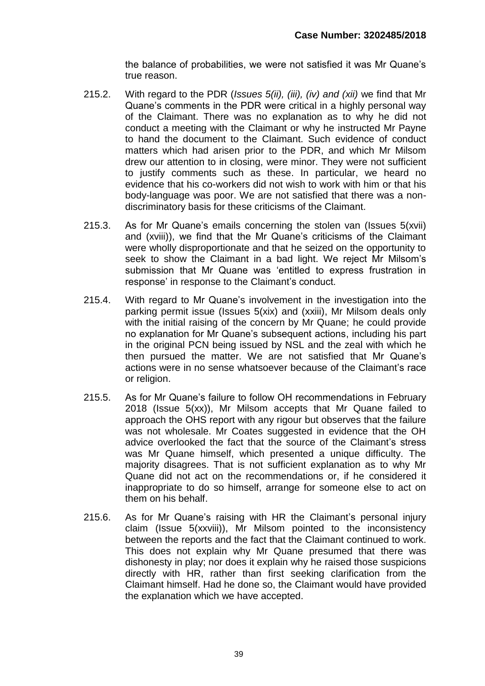the balance of probabilities, we were not satisfied it was Mr Quane's true reason.

- 215.2. With regard to the PDR (*Issues 5(ii), (iii), (iv) and (xii)* we find that Mr Quane's comments in the PDR were critical in a highly personal way of the Claimant. There was no explanation as to why he did not conduct a meeting with the Claimant or why he instructed Mr Payne to hand the document to the Claimant. Such evidence of conduct matters which had arisen prior to the PDR, and which Mr Milsom drew our attention to in closing, were minor. They were not sufficient to justify comments such as these. In particular, we heard no evidence that his co-workers did not wish to work with him or that his body-language was poor. We are not satisfied that there was a nondiscriminatory basis for these criticisms of the Claimant.
- 215.3. As for Mr Quane's emails concerning the stolen van (Issues 5(xvii) and (xviii)), we find that the Mr Quane's criticisms of the Claimant were wholly disproportionate and that he seized on the opportunity to seek to show the Claimant in a bad light. We reject Mr Milsom's submission that Mr Quane was 'entitled to express frustration in response' in response to the Claimant's conduct.
- 215.4. With regard to Mr Quane's involvement in the investigation into the parking permit issue (Issues 5(xix) and (xxiii), Mr Milsom deals only with the initial raising of the concern by Mr Quane; he could provide no explanation for Mr Quane's subsequent actions, including his part in the original PCN being issued by NSL and the zeal with which he then pursued the matter. We are not satisfied that Mr Quane's actions were in no sense whatsoever because of the Claimant's race or religion.
- 215.5. As for Mr Quane's failure to follow OH recommendations in February 2018 (Issue 5(xx)), Mr Milsom accepts that Mr Quane failed to approach the OHS report with any rigour but observes that the failure was not wholesale. Mr Coates suggested in evidence that the OH advice overlooked the fact that the source of the Claimant's stress was Mr Quane himself, which presented a unique difficulty. The majority disagrees. That is not sufficient explanation as to why Mr Quane did not act on the recommendations or, if he considered it inappropriate to do so himself, arrange for someone else to act on them on his behalf.
- 215.6. As for Mr Quane's raising with HR the Claimant's personal injury claim (Issue 5(xxviii)), Mr Milsom pointed to the inconsistency between the reports and the fact that the Claimant continued to work. This does not explain why Mr Quane presumed that there was dishonesty in play; nor does it explain why he raised those suspicions directly with HR, rather than first seeking clarification from the Claimant himself. Had he done so, the Claimant would have provided the explanation which we have accepted.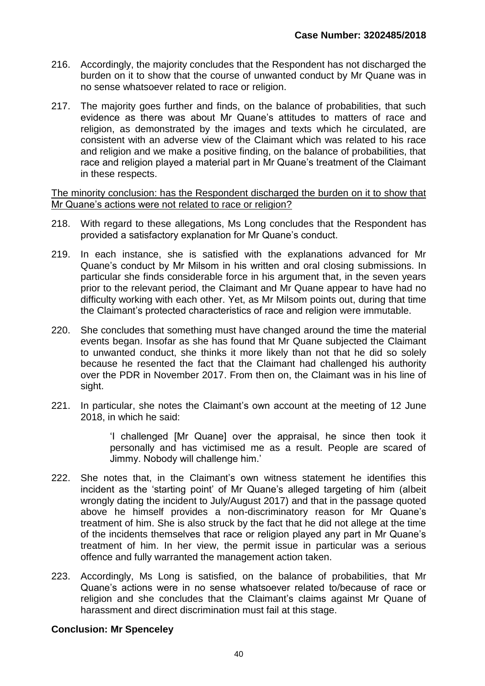- 216. Accordingly, the majority concludes that the Respondent has not discharged the burden on it to show that the course of unwanted conduct by Mr Quane was in no sense whatsoever related to race or religion.
- 217. The majority goes further and finds, on the balance of probabilities, that such evidence as there was about Mr Quane's attitudes to matters of race and religion, as demonstrated by the images and texts which he circulated, are consistent with an adverse view of the Claimant which was related to his race and religion and we make a positive finding, on the balance of probabilities, that race and religion played a material part in Mr Quane's treatment of the Claimant in these respects.

#### The minority conclusion: has the Respondent discharged the burden on it to show that Mr Quane's actions were not related to race or religion?

- 218. With regard to these allegations, Ms Long concludes that the Respondent has provided a satisfactory explanation for Mr Quane's conduct.
- 219. In each instance, she is satisfied with the explanations advanced for Mr Quane's conduct by Mr Milsom in his written and oral closing submissions. In particular she finds considerable force in his argument that, in the seven years prior to the relevant period, the Claimant and Mr Quane appear to have had no difficulty working with each other. Yet, as Mr Milsom points out, during that time the Claimant's protected characteristics of race and religion were immutable.
- 220. She concludes that something must have changed around the time the material events began. Insofar as she has found that Mr Quane subjected the Claimant to unwanted conduct, she thinks it more likely than not that he did so solely because he resented the fact that the Claimant had challenged his authority over the PDR in November 2017. From then on, the Claimant was in his line of sight.
- 221. In particular, she notes the Claimant's own account at the meeting of 12 June 2018, in which he said:

'I challenged [Mr Quane] over the appraisal, he since then took it personally and has victimised me as a result. People are scared of Jimmy. Nobody will challenge him.'

- 222. She notes that, in the Claimant's own witness statement he identifies this incident as the 'starting point' of Mr Quane's alleged targeting of him (albeit wrongly dating the incident to July/August 2017) and that in the passage quoted above he himself provides a non-discriminatory reason for Mr Quane's treatment of him. She is also struck by the fact that he did not allege at the time of the incidents themselves that race or religion played any part in Mr Quane's treatment of him. In her view, the permit issue in particular was a serious offence and fully warranted the management action taken.
- 223. Accordingly, Ms Long is satisfied, on the balance of probabilities, that Mr Quane's actions were in no sense whatsoever related to/because of race or religion and she concludes that the Claimant's claims against Mr Quane of harassment and direct discrimination must fail at this stage.

## **Conclusion: Mr Spenceley**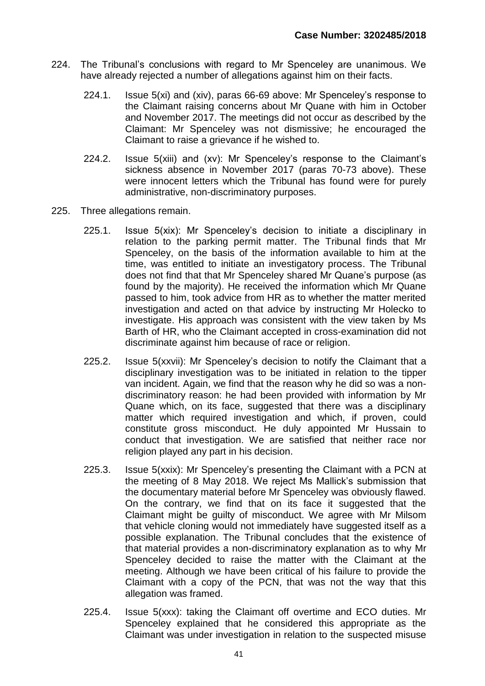- 224. The Tribunal's conclusions with regard to Mr Spenceley are unanimous. We have already rejected a number of allegations against him on their facts.
	- 224.1. Issue 5(xi) and (xiv), paras 66-69 above: Mr Spenceley's response to the Claimant raising concerns about Mr Quane with him in October and November 2017. The meetings did not occur as described by the Claimant: Mr Spenceley was not dismissive; he encouraged the Claimant to raise a grievance if he wished to.
	- 224.2. Issue 5(xiii) and (xv): Mr Spenceley's response to the Claimant's sickness absence in November 2017 (paras 70-73 above). These were innocent letters which the Tribunal has found were for purely administrative, non-discriminatory purposes.
- 225. Three allegations remain.
	- 225.1. Issue 5(xix): Mr Spenceley's decision to initiate a disciplinary in relation to the parking permit matter. The Tribunal finds that Mr Spenceley, on the basis of the information available to him at the time, was entitled to initiate an investigatory process. The Tribunal does not find that that Mr Spenceley shared Mr Quane's purpose (as found by the majority). He received the information which Mr Quane passed to him, took advice from HR as to whether the matter merited investigation and acted on that advice by instructing Mr Holecko to investigate. His approach was consistent with the view taken by Ms Barth of HR, who the Claimant accepted in cross-examination did not discriminate against him because of race or religion.
	- 225.2. Issue 5(xxvii): Mr Spenceley's decision to notify the Claimant that a disciplinary investigation was to be initiated in relation to the tipper van incident. Again, we find that the reason why he did so was a nondiscriminatory reason: he had been provided with information by Mr Quane which, on its face, suggested that there was a disciplinary matter which required investigation and which, if proven, could constitute gross misconduct. He duly appointed Mr Hussain to conduct that investigation. We are satisfied that neither race nor religion played any part in his decision.
	- 225.3. Issue 5(xxix): Mr Spenceley's presenting the Claimant with a PCN at the meeting of 8 May 2018. We reject Ms Mallick's submission that the documentary material before Mr Spenceley was obviously flawed. On the contrary, we find that on its face it suggested that the Claimant might be guilty of misconduct. We agree with Mr Milsom that vehicle cloning would not immediately have suggested itself as a possible explanation. The Tribunal concludes that the existence of that material provides a non-discriminatory explanation as to why Mr Spenceley decided to raise the matter with the Claimant at the meeting. Although we have been critical of his failure to provide the Claimant with a copy of the PCN, that was not the way that this allegation was framed.
	- 225.4. Issue 5(xxx): taking the Claimant off overtime and ECO duties. Mr Spenceley explained that he considered this appropriate as the Claimant was under investigation in relation to the suspected misuse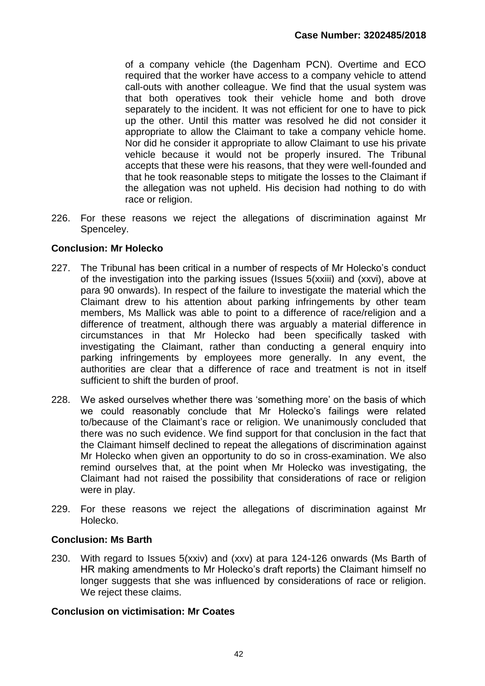of a company vehicle (the Dagenham PCN). Overtime and ECO required that the worker have access to a company vehicle to attend call-outs with another colleague. We find that the usual system was that both operatives took their vehicle home and both drove separately to the incident. It was not efficient for one to have to pick up the other. Until this matter was resolved he did not consider it appropriate to allow the Claimant to take a company vehicle home. Nor did he consider it appropriate to allow Claimant to use his private vehicle because it would not be properly insured. The Tribunal accepts that these were his reasons, that they were well-founded and that he took reasonable steps to mitigate the losses to the Claimant if the allegation was not upheld. His decision had nothing to do with race or religion.

226. For these reasons we reject the allegations of discrimination against Mr Spenceley.

# **Conclusion: Mr Holecko**

- 227. The Tribunal has been critical in a number of respects of Mr Holecko's conduct of the investigation into the parking issues (Issues 5(xxiii) and (xxvi), above at para 90 onwards). In respect of the failure to investigate the material which the Claimant drew to his attention about parking infringements by other team members, Ms Mallick was able to point to a difference of race/religion and a difference of treatment, although there was arguably a material difference in circumstances in that Mr Holecko had been specifically tasked with investigating the Claimant, rather than conducting a general enquiry into parking infringements by employees more generally. In any event, the authorities are clear that a difference of race and treatment is not in itself sufficient to shift the burden of proof.
- 228. We asked ourselves whether there was 'something more' on the basis of which we could reasonably conclude that Mr Holecko's failings were related to/because of the Claimant's race or religion. We unanimously concluded that there was no such evidence. We find support for that conclusion in the fact that the Claimant himself declined to repeat the allegations of discrimination against Mr Holecko when given an opportunity to do so in cross-examination. We also remind ourselves that, at the point when Mr Holecko was investigating, the Claimant had not raised the possibility that considerations of race or religion were in play.
- 229. For these reasons we reject the allegations of discrimination against Mr Holecko.

## **Conclusion: Ms Barth**

230. With regard to Issues 5(xxiv) and (xxv) at para 124-126 onwards (Ms Barth of HR making amendments to Mr Holecko's draft reports) the Claimant himself no longer suggests that she was influenced by considerations of race or religion. We reject these claims.

## **Conclusion on victimisation: Mr Coates**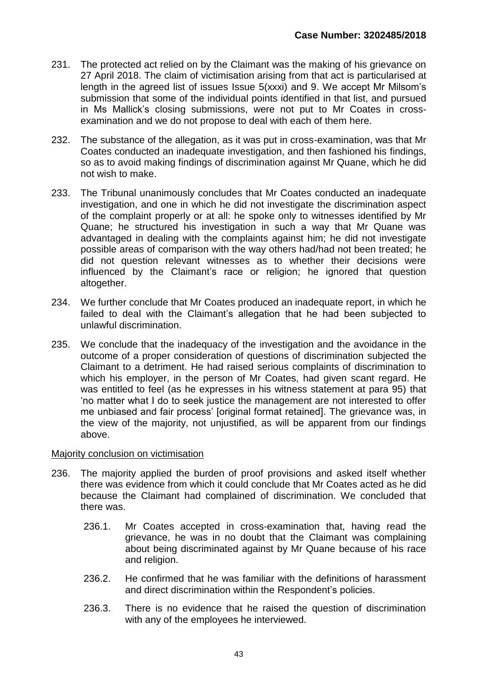- 231. The protected act relied on by the Claimant was the making of his grievance on 27 April 2018. The claim of victimisation arising from that act is particularised at length in the agreed list of issues Issue 5(xxxi) and 9. We accept Mr Milsom's submission that some of the individual points identified in that list, and pursued in Ms Mallick's closing submissions, were not put to Mr Coates in crossexamination and we do not propose to deal with each of them here.
- 232. The substance of the allegation, as it was put in cross-examination, was that Mr Coates conducted an inadequate investigation, and then fashioned his findings, so as to avoid making findings of discrimination against Mr Quane, which he did not wish to make.
- 233. The Tribunal unanimously concludes that Mr Coates conducted an inadequate investigation, and one in which he did not investigate the discrimination aspect of the complaint properly or at all: he spoke only to witnesses identified by Mr Quane; he structured his investigation in such a way that Mr Quane was advantaged in dealing with the complaints against him; he did not investigate possible areas of comparison with the way others had/had not been treated; he did not question relevant witnesses as to whether their decisions were influenced by the Claimant's race or religion; he ignored that question altogether.
- 234. We further conclude that Mr Coates produced an inadequate report, in which he failed to deal with the Claimant's allegation that he had been subjected to unlawful discrimination.
- 235. We conclude that the inadequacy of the investigation and the avoidance in the outcome of a proper consideration of questions of discrimination subjected the Claimant to a detriment. He had raised serious complaints of discrimination to which his employer, in the person of Mr Coates, had given scant regard. He was entitled to feel (as he expresses in his witness statement at para 95) that 'no matter what I do to seek justice the management are not interested to offer me unbiased and fair process' [original format retained]. The grievance was, in the view of the majority, not unjustified, as will be apparent from our findings above.

## Majority conclusion on victimisation

- 236. The majority applied the burden of proof provisions and asked itself whether there was evidence from which it could conclude that Mr Coates acted as he did because the Claimant had complained of discrimination. We concluded that there was.
	- 236.1. Mr Coates accepted in cross-examination that, having read the grievance, he was in no doubt that the Claimant was complaining about being discriminated against by Mr Quane because of his race and religion.
	- 236.2. He confirmed that he was familiar with the definitions of harassment and direct discrimination within the Respondent's policies.
	- 236.3. There is no evidence that he raised the question of discrimination with any of the employees he interviewed.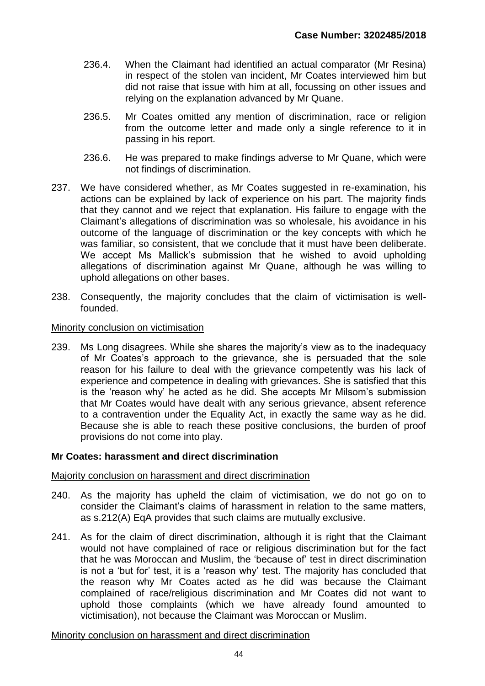- 236.4. When the Claimant had identified an actual comparator (Mr Resina) in respect of the stolen van incident, Mr Coates interviewed him but did not raise that issue with him at all, focussing on other issues and relying on the explanation advanced by Mr Quane.
- 236.5. Mr Coates omitted any mention of discrimination, race or religion from the outcome letter and made only a single reference to it in passing in his report.
- 236.6. He was prepared to make findings adverse to Mr Quane, which were not findings of discrimination.
- 237. We have considered whether, as Mr Coates suggested in re-examination, his actions can be explained by lack of experience on his part. The majority finds that they cannot and we reject that explanation. His failure to engage with the Claimant's allegations of discrimination was so wholesale, his avoidance in his outcome of the language of discrimination or the key concepts with which he was familiar, so consistent, that we conclude that it must have been deliberate. We accept Ms Mallick's submission that he wished to avoid upholding allegations of discrimination against Mr Quane, although he was willing to uphold allegations on other bases.
- 238. Consequently, the majority concludes that the claim of victimisation is wellfounded.

#### Minority conclusion on victimisation

239. Ms Long disagrees. While she shares the majority's view as to the inadequacy of Mr Coates's approach to the grievance, she is persuaded that the sole reason for his failure to deal with the grievance competently was his lack of experience and competence in dealing with grievances. She is satisfied that this is the 'reason why' he acted as he did. She accepts Mr Milsom's submission that Mr Coates would have dealt with any serious grievance, absent reference to a contravention under the Equality Act, in exactly the same way as he did. Because she is able to reach these positive conclusions, the burden of proof provisions do not come into play.

#### **Mr Coates: harassment and direct discrimination**

Majority conclusion on harassment and direct discrimination

- 240. As the majority has upheld the claim of victimisation, we do not go on to consider the Claimant's claims of harassment in relation to the same matters, as s.212(A) EqA provides that such claims are mutually exclusive.
- 241. As for the claim of direct discrimination, although it is right that the Claimant would not have complained of race or religious discrimination but for the fact that he was Moroccan and Muslim, the 'because of' test in direct discrimination is not a 'but for' test, it is a 'reason why' test. The majority has concluded that the reason why Mr Coates acted as he did was because the Claimant complained of race/religious discrimination and Mr Coates did not want to uphold those complaints (which we have already found amounted to victimisation), not because the Claimant was Moroccan or Muslim.

#### Minority conclusion on harassment and direct discrimination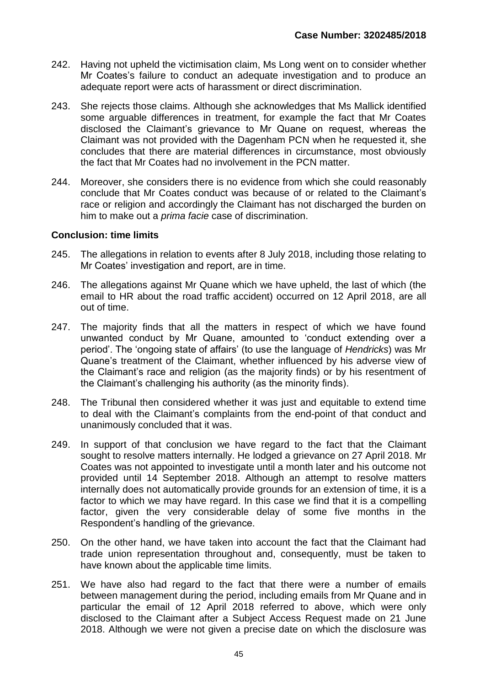- 242. Having not upheld the victimisation claim, Ms Long went on to consider whether Mr Coates's failure to conduct an adequate investigation and to produce an adequate report were acts of harassment or direct discrimination.
- 243. She rejects those claims. Although she acknowledges that Ms Mallick identified some arguable differences in treatment, for example the fact that Mr Coates disclosed the Claimant's grievance to Mr Quane on request, whereas the Claimant was not provided with the Dagenham PCN when he requested it, she concludes that there are material differences in circumstance, most obviously the fact that Mr Coates had no involvement in the PCN matter.
- 244. Moreover, she considers there is no evidence from which she could reasonably conclude that Mr Coates conduct was because of or related to the Claimant's race or religion and accordingly the Claimant has not discharged the burden on him to make out a *prima facie* case of discrimination.

#### **Conclusion: time limits**

- 245. The allegations in relation to events after 8 July 2018, including those relating to Mr Coates' investigation and report, are in time.
- 246. The allegations against Mr Quane which we have upheld, the last of which (the email to HR about the road traffic accident) occurred on 12 April 2018, are all out of time.
- 247. The majority finds that all the matters in respect of which we have found unwanted conduct by Mr Quane, amounted to 'conduct extending over a period'. The 'ongoing state of affairs' (to use the language of *Hendricks*) was Mr Quane's treatment of the Claimant, whether influenced by his adverse view of the Claimant's race and religion (as the majority finds) or by his resentment of the Claimant's challenging his authority (as the minority finds).
- 248. The Tribunal then considered whether it was just and equitable to extend time to deal with the Claimant's complaints from the end-point of that conduct and unanimously concluded that it was.
- 249. In support of that conclusion we have regard to the fact that the Claimant sought to resolve matters internally. He lodged a grievance on 27 April 2018. Mr Coates was not appointed to investigate until a month later and his outcome not provided until 14 September 2018. Although an attempt to resolve matters internally does not automatically provide grounds for an extension of time, it is a factor to which we may have regard. In this case we find that it is a compelling factor, given the very considerable delay of some five months in the Respondent's handling of the grievance.
- 250. On the other hand, we have taken into account the fact that the Claimant had trade union representation throughout and, consequently, must be taken to have known about the applicable time limits.
- 251. We have also had regard to the fact that there were a number of emails between management during the period, including emails from Mr Quane and in particular the email of 12 April 2018 referred to above, which were only disclosed to the Claimant after a Subject Access Request made on 21 June 2018. Although we were not given a precise date on which the disclosure was